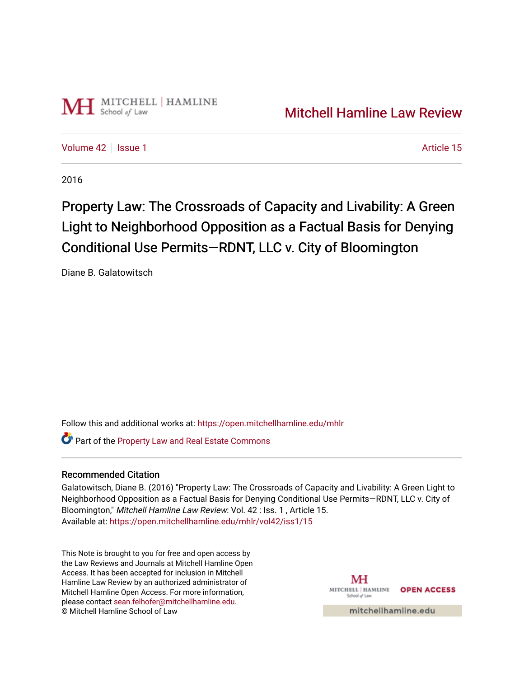

[Volume 42](https://open.mitchellhamline.edu/mhlr/vol42) | [Issue 1](https://open.mitchellhamline.edu/mhlr/vol42/iss1) Article 15

2016

# Property Law: The Crossroads of Capacity and Livability: A Green Light to Neighborhood Opposition as a Factual Basis for Denying Conditional Use Permits-RDNT, LLC v. City of Bloomington

Diane B. Galatowitsch

Follow this and additional works at: [https://open.mitchellhamline.edu/mhlr](https://open.mitchellhamline.edu/mhlr?utm_source=open.mitchellhamline.edu%2Fmhlr%2Fvol42%2Fiss1%2F15&utm_medium=PDF&utm_campaign=PDFCoverPages) 

**C** Part of the Property Law and Real Estate Commons

## Recommended Citation

Galatowitsch, Diane B. (2016) "Property Law: The Crossroads of Capacity and Livability: A Green Light to Neighborhood Opposition as a Factual Basis for Denying Conditional Use Permits—RDNT, LLC v. City of Bloomington," Mitchell Hamline Law Review: Vol. 42 : Iss. 1 , Article 15. Available at: [https://open.mitchellhamline.edu/mhlr/vol42/iss1/15](https://open.mitchellhamline.edu/mhlr/vol42/iss1/15?utm_source=open.mitchellhamline.edu%2Fmhlr%2Fvol42%2Fiss1%2F15&utm_medium=PDF&utm_campaign=PDFCoverPages)

This Note is brought to you for free and open access by the Law Reviews and Journals at Mitchell Hamline Open Access. It has been accepted for inclusion in Mitchell Hamline Law Review by an authorized administrator of Mitchell Hamline Open Access. For more information, please contact [sean.felhofer@mitchellhamline.edu.](mailto:sean.felhofer@mitchellhamline.edu) © Mitchell Hamline School of Law

MH MITCHELL | HAMLINE **OPEN ACCESS** School of Lav

mitchellhamline.edu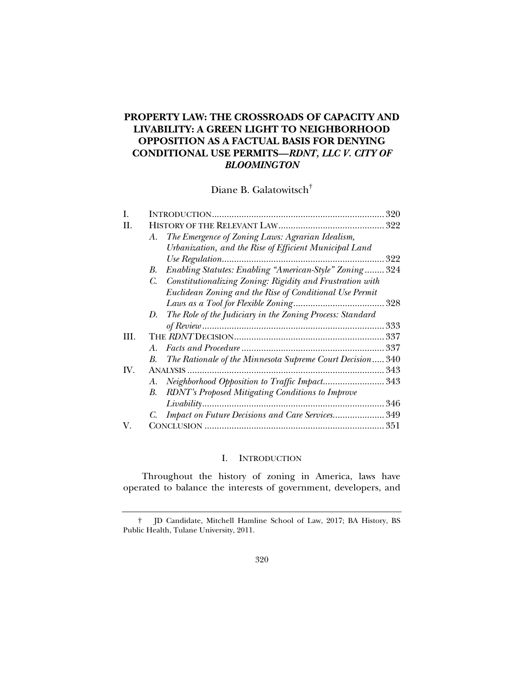## **PROPERTY LAW: THE CROSSROADS OF CAPACITY AND LIVABILITY: A GREEN LIGHT TO NEIGHBORHOOD OPPOSITION AS A FACTUAL BASIS FOR DENYING CONDITIONAL USE PERMITS—***RDNT, LLC V. CITY OF BLOOMINGTON*

Diane B. Galatowitsch†

| I.  |         | 320                                                          |     |
|-----|---------|--------------------------------------------------------------|-----|
| Н.  |         |                                                              |     |
|     | A.      | The Emergence of Zoning Laws: Agrarian Idealism,             |     |
|     |         | Urbanization, and the Rise of Efficient Municipal Land       |     |
|     |         |                                                              | 322 |
|     | В.      | Enabling Statutes: Enabling "American-Style" Zoning 324      |     |
|     |         | C. Constitutionalizing Zoning: Rigidity and Frustration with |     |
|     |         | Euclidean Zoning and the Rise of Conditional Use Permit      |     |
|     |         |                                                              |     |
|     | D.      | The Role of the Judiciary in the Zoning Process: Standard    |     |
|     |         |                                                              | 333 |
| HI. |         |                                                              |     |
|     | $A_{-}$ |                                                              | 337 |
|     | В.      | The Rationale of the Minnesota Supreme Court Decision 340    |     |
| IV. |         |                                                              | 343 |
|     | А.      | Neighborhood Opposition to Traffic Impact343                 |     |
|     | B.      | RDNT's Proposed Mitigating Conditions to Improve             |     |
|     |         |                                                              | 346 |
|     |         | Impact on Future Decisions and Care Services 349             |     |
| V.  |         |                                                              |     |

## I. INTRODUCTION

Throughout the history of zoning in America, laws have operated to balance the interests of government, developers, and

 <sup>†</sup> JD Candidate, Mitchell Hamline School of Law, 2017; BA History, BS Public Health, Tulane University, 2011.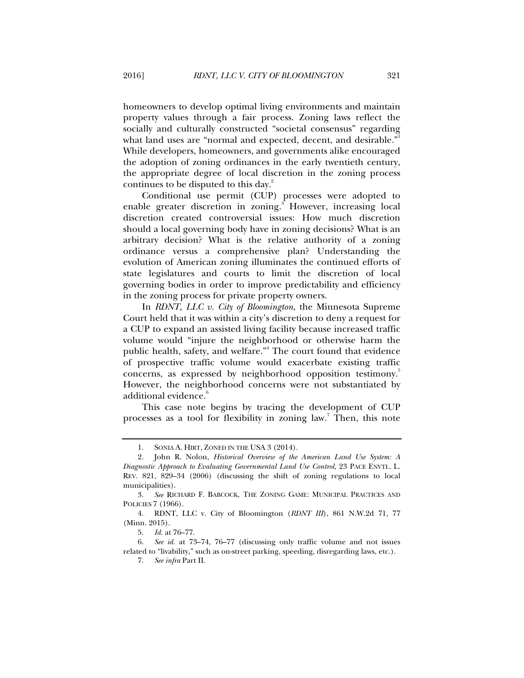homeowners to develop optimal living environments and maintain property values through a fair process. Zoning laws reflect the socially and culturally constructed "societal consensus" regarding what land uses are "normal and expected, decent, and desirable." While developers, homeowners, and governments alike encouraged the adoption of zoning ordinances in the early twentieth century, the appropriate degree of local discretion in the zoning process continues to be disputed to this day.<sup>2</sup>

Conditional use permit (CUP) processes were adopted to enable greater discretion in zoning.<sup>3</sup> However, increasing local discretion created controversial issues: How much discretion should a local governing body have in zoning decisions? What is an arbitrary decision? What is the relative authority of a zoning ordinance versus a comprehensive plan? Understanding the evolution of American zoning illuminates the continued efforts of state legislatures and courts to limit the discretion of local governing bodies in order to improve predictability and efficiency in the zoning process for private property owners.

In *RDNT, LLC v. City of Bloomington*, the Minnesota Supreme Court held that it was within a city's discretion to deny a request for a CUP to expand an assisted living facility because increased traffic volume would "injure the neighborhood or otherwise harm the public health, safety, and welfare."<sup>4</sup> The court found that evidence of prospective traffic volume would exacerbate existing traffic concerns, as expressed by neighborhood opposition testimony.<sup>3</sup> However, the neighborhood concerns were not substantiated by additional evidence.<sup>6</sup>

This case note begins by tracing the development of CUP processes as a tool for flexibility in zoning law.<sup>7</sup> Then, this note

 <sup>1.</sup> SONIA A. HIRT, ZONED IN THE USA 3 (2014).

 <sup>2.</sup> John R. Nolon, *Historical Overview of the American Land Use System: A Diagnostic Approach to Evaluating Governmental Land Use Control*, 23 PACE ENVTL. L. REV. 821, 829–34 (2006) (discussing the shift of zoning regulations to local municipalities).

 <sup>3.</sup> *See* RICHARD F. BABCOCK, THE ZONING GAME: MUNICIPAL PRACTICES AND POLICIES 7 (1966).

 <sup>4.</sup> RDNT, LLC v. City of Bloomington (*RDNT III*), 861 N.W.2d 71, 77 (Minn. 2015).

 <sup>5.</sup> *Id.* at 76–77.

 <sup>6.</sup> *See id.* at 73–74, 76–77 (discussing only traffic volume and not issues related to "livability," such as on-street parking, speeding, disregarding laws, etc.).

 <sup>7.</sup> *See infra* Part II.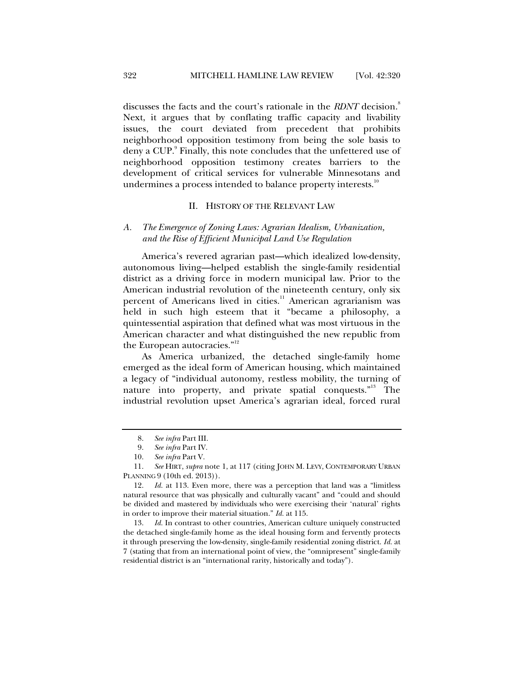discusses the facts and the court's rationale in the *RDNT* decision.<sup>8</sup> Next, it argues that by conflating traffic capacity and livability issues, the court deviated from precedent that prohibits neighborhood opposition testimony from being the sole basis to deny a CUP.<sup>9</sup> Finally, this note concludes that the unfettered use of neighborhood opposition testimony creates barriers to the development of critical services for vulnerable Minnesotans and undermines a process intended to balance property interests.<sup>10</sup>

#### II. HISTORY OF THE RELEVANT LAW

### *A. The Emergence of Zoning Laws: Agrarian Idealism, Urbanization, and the Rise of Efficient Municipal Land Use Regulation*

America's revered agrarian past—which idealized low-density, autonomous living—helped establish the single-family residential district as a driving force in modern municipal law. Prior to the American industrial revolution of the nineteenth century, only six percent of Americans lived in cities.<sup>11</sup> American agrarianism was held in such high esteem that it "became a philosophy, a quintessential aspiration that defined what was most virtuous in the American character and what distinguished the new republic from the European autocracies."<sup>12</sup>

As America urbanized, the detached single-family home emerged as the ideal form of American housing, which maintained a legacy of "individual autonomy, restless mobility, the turning of nature into property, and private spatial conquests."<sup>13</sup> The industrial revolution upset America's agrarian ideal, forced rural

 <sup>8.</sup> *See infra* Part III.

 <sup>9.</sup> *See infra* Part IV.

 <sup>10.</sup> *See infra* Part V.

 <sup>11.</sup> *See* HIRT, *supra* note 1, at 117 (citing JOHN M. LEVY, CONTEMPORARY URBAN PLANNING 9 (10th ed. 2013)).

 <sup>12.</sup> *Id.* at 113. Even more, there was a perception that land was a "limitless natural resource that was physically and culturally vacant" and "could and should be divided and mastered by individuals who were exercising their 'natural' rights in order to improve their material situation." *Id.* at 115.

 <sup>13.</sup> *Id.* In contrast to other countries, American culture uniquely constructed the detached single-family home as the ideal housing form and fervently protects it through preserving the low-density, single-family residential zoning district. *Id.* at 7 (stating that from an international point of view, the "omnipresent" single-family residential district is an "international rarity, historically and today").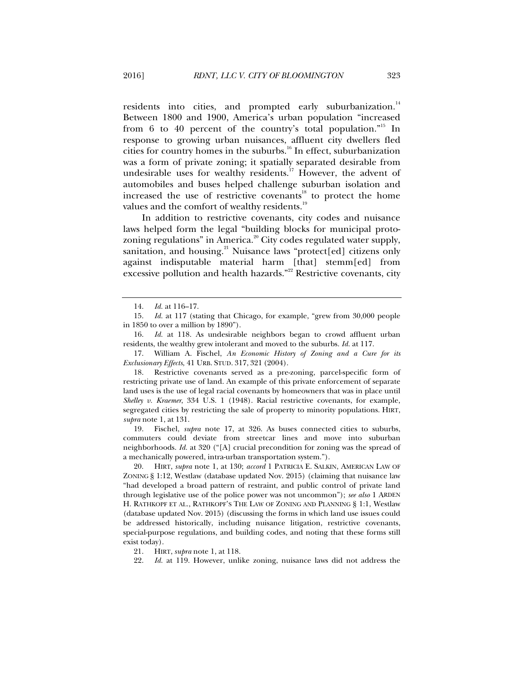residents into cities, and prompted early suburbanization.<sup>14</sup> Between 1800 and 1900, America's urban population "increased from 6 to 40 percent of the country's total population."<sup>15</sup> In response to growing urban nuisances, affluent city dwellers fled cities for country homes in the suburbs.<sup>16</sup> In effect, suburbanization was a form of private zoning; it spatially separated desirable from undesirable uses for wealthy residents.<sup>17</sup> However, the advent of automobiles and buses helped challenge suburban isolation and increased the use of restrictive covenants<sup>18</sup> to protect the home values and the comfort of wealthy residents.<sup>19</sup>

In addition to restrictive covenants, city codes and nuisance laws helped form the legal "building blocks for municipal protozoning regulations" in America.<sup>20</sup> City codes regulated water supply, sanitation, and housing.<sup>21</sup> Nuisance laws "protect[ed] citizens only against indisputable material harm [that] stemm[ed] from excessive pollution and health hazards."<sup>22</sup> Restrictive covenants, city

 17. William A. Fischel, *An Economic History of Zoning and a Cure for its Exclusionary Effects*, 41 URB. STUD. 317, 321 (2004).

 18. Restrictive covenants served as a pre-zoning, parcel-specific form of restricting private use of land. An example of this private enforcement of separate land uses is the use of legal racial covenants by homeowners that was in place until *Shelley v. Kraemer*, 334 U.S. 1 (1948). Racial restrictive covenants, for example, segregated cities by restricting the sale of property to minority populations. HIRT, *supra* note 1, at 131.

 19. Fischel, *supra* note 17, at 326. As buses connected cities to suburbs, commuters could deviate from streetcar lines and move into suburban neighborhoods. *Id.* at 320 ("[A] crucial precondition for zoning was the spread of a mechanically powered, intra-urban transportation system.").

 20. HIRT, *supra* note 1, at 130; *accord* 1 PATRICIA E. SALKIN, AMERICAN LAW OF ZONING § 1:12, Westlaw (database updated Nov. 2015) (claiming that nuisance law "had developed a broad pattern of restraint, and public control of private land through legislative use of the police power was not uncommon"); *see also* 1 ARDEN H. RATHKOPF ET AL., RATHKOPF'S THE LAW OF ZONING AND PLANNING § 1:1, Westlaw (database updated Nov. 2015) (discussing the forms in which land use issues could be addressed historically, including nuisance litigation, restrictive covenants, special-purpose regulations, and building codes, and noting that these forms still exist today).

21. HIRT, *supra* note 1, at 118.

 <sup>14.</sup> *Id.* at 116–17.

 <sup>15.</sup> *Id.* at 117 (stating that Chicago, for example, "grew from 30,000 people in 1850 to over a million by 1890").

 <sup>16.</sup> *Id.* at 118. As undesirable neighbors began to crowd affluent urban residents, the wealthy grew intolerant and moved to the suburbs. *Id.* at 117.

 <sup>22.</sup> *Id.* at 119. However, unlike zoning, nuisance laws did not address the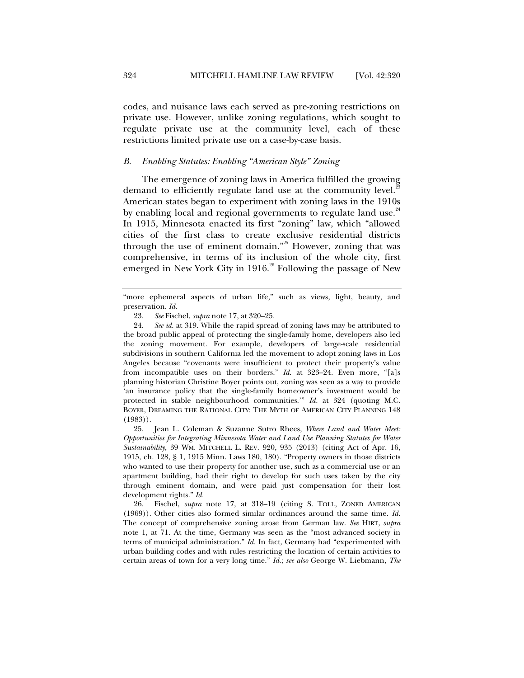codes, and nuisance laws each served as pre-zoning restrictions on private use. However, unlike zoning regulations, which sought to regulate private use at the community level, each of these restrictions limited private use on a case-by-case basis.

#### *B. Enabling Statutes: Enabling "American-Style" Zoning*

The emergence of zoning laws in America fulfilled the growing demand to efficiently regulate land use at the community level.<sup>23</sup> American states began to experiment with zoning laws in the 1910s by enabling local and regional governments to regulate land use. $24$ In 1915, Minnesota enacted its first "zoning" law, which "allowed cities of the first class to create exclusive residential districts through the use of eminent domain."<sup>25</sup> However, zoning that was comprehensive, in terms of its inclusion of the whole city, first emerged in New York City in 1916.<sup>26</sup> Following the passage of New

 24. *See id.* at 319. While the rapid spread of zoning laws may be attributed to the broad public appeal of protecting the single-family home, developers also led the zoning movement. For example, developers of large-scale residential subdivisions in southern California led the movement to adopt zoning laws in Los Angeles because "covenants were insufficient to protect their property's value from incompatible uses on their borders." *Id.* at 323–24. Even more, "[a]s planning historian Christine Boyer points out, zoning was seen as a way to provide 'an insurance policy that the single-family homeowner's investment would be protected in stable neighbourhood communities.'" *Id.* at 324 (quoting M.C. BOYER, DREAMING THE RATIONAL CITY: THE MYTH OF AMERICAN CITY PLANNING 148 (1983)).

 25. Jean L. Coleman & Suzanne Sutro Rhees, *Where Land and Water Meet: Opportunities for Integrating Minnesota Water and Land Use Planning Statutes for Water Sustainability*, 39 WM. MITCHELL L. REV. 920, 935 (2013) (citing Act of Apr. 16, 1915, ch. 128, § 1, 1915 Minn. Laws 180, 180). "Property owners in those districts who wanted to use their property for another use, such as a commercial use or an apartment building, had their right to develop for such uses taken by the city through eminent domain, and were paid just compensation for their lost development rights." *Id.*

 26. Fischel, *supra* note 17, at 318–19 (citing S. TOLL, ZONED AMERICAN (1969)). Other cities also formed similar ordinances around the same time. *Id.* The concept of comprehensive zoning arose from German law. *See* HIRT, *supra*  note 1, at 71. At the time, Germany was seen as the "most advanced society in terms of municipal administration." *Id.* In fact, Germany had "experimented with urban building codes and with rules restricting the location of certain activities to certain areas of town for a very long time." *Id.*; *see also* George W. Liebmann, *The* 

<sup>&</sup>quot;more ephemeral aspects of urban life," such as views, light, beauty, and preservation. *Id.* 

 <sup>23.</sup> *See* Fischel, *supra* note 17, at 320–25.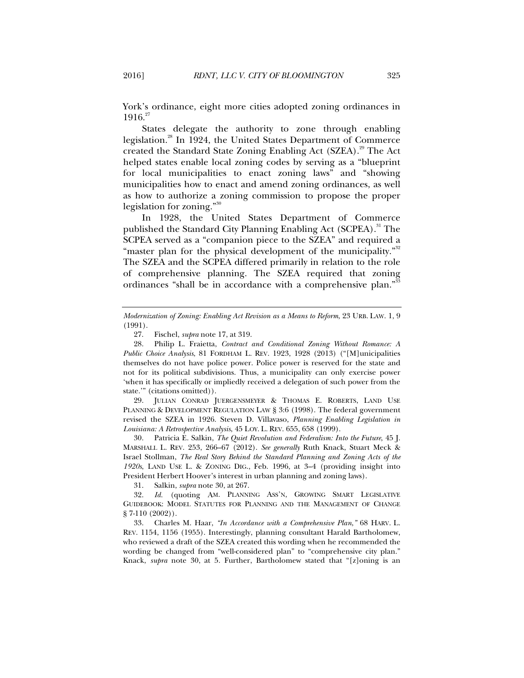York's ordinance, eight more cities adopted zoning ordinances in  $1916.<sup>27</sup>$ 

States delegate the authority to zone through enabling legislation.<sup>28</sup> In 1924, the United States Department of Commerce created the Standard State Zoning Enabling Act (SZEA).<sup>29</sup> The Act helped states enable local zoning codes by serving as a "blueprint for local municipalities to enact zoning laws" and "showing municipalities how to enact and amend zoning ordinances, as well as how to authorize a zoning commission to propose the proper legislation for zoning."<sup>30</sup>

In 1928, the United States Department of Commerce published the Standard City Planning Enabling Act (SCPEA).<sup>31</sup> The SCPEA served as a "companion piece to the SZEA" and required a "master plan for the physical development of the municipality."<sup>32</sup> The SZEA and the SCPEA differed primarily in relation to the role of comprehensive planning. The SZEA required that zoning ordinances "shall be in accordance with a comprehensive plan."<sup>33</sup>

 29. JULIAN CONRAD JUERGENSMEYER & THOMAS E. ROBERTS, LAND USE PLANNING & DEVELOPMENT REGULATION LAW § 3:6 (1998). The federal government revised the SZEA in 1926. Steven D. Villavaso, *Planning Enabling Legislation in Louisiana: A Retrospective Analysis*, 45 LOY. L. REV. 655, 658 (1999).

 30. Patricia E. Salkin, *The Quiet Revolution and Federalism: Into the Future*, 45 J. MARSHALL L. REV. 253, 266–67 (2012). *See generally* Ruth Knack, Stuart Meck & Israel Stollman, *The Real Story Behind the Standard Planning and Zoning Acts of the 1920s*, LAND USE L. & ZONING DIG., Feb. 1996, at 3–4 (providing insight into President Herbert Hoover's interest in urban planning and zoning laws).

31. Salkin, *supra* note 30, at 267.

 32. *Id.* (quoting AM. PLANNING ASS'N, GROWING SMART LEGISLATIVE GUIDEBOOK: MODEL STATUTES FOR PLANNING AND THE MANAGEMENT OF CHANGE § 7-110 (2002)).

 33. Charles M. Haar, *"In Accordance with a Comprehensive Plan*,*"* 68 HARV. L. REV. 1154, 1156 (1955). Interestingly, planning consultant Harald Bartholomew, who reviewed a draft of the SZEA created this wording when he recommended the wording be changed from "well-considered plan" to "comprehensive city plan." Knack, *supra* note 30, at 5. Further, Bartholomew stated that "[z]oning is an

*Modernization of Zoning: Enabling Act Revision as a Means to Reform*, 23 URB. LAW. 1, 9 (1991).

 <sup>27.</sup> Fischel, *supra* note 17, at 319.

 <sup>28.</sup> Philip L. Fraietta, *Contract and Conditional Zoning Without Romance: A Public Choice Analysis*, 81 FORDHAM L. REV. 1923, 1928 (2013) ("[M]unicipalities themselves do not have police power. Police power is reserved for the state and not for its political subdivisions. Thus, a municipality can only exercise power 'when it has specifically or impliedly received a delegation of such power from the state.'" (citations omitted)).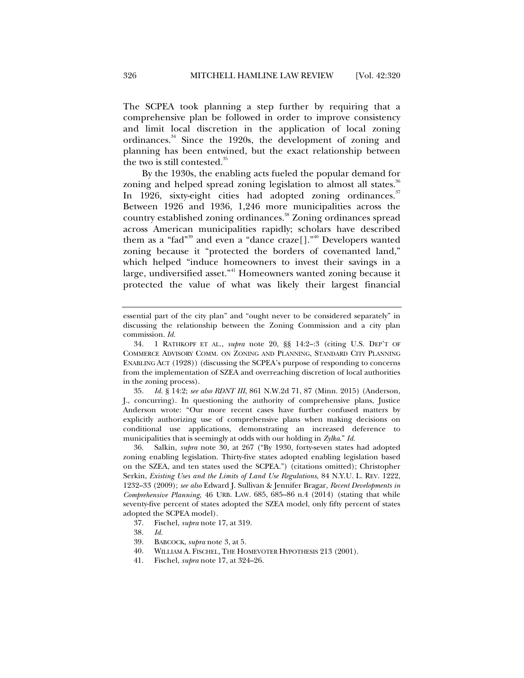The SCPEA took planning a step further by requiring that a comprehensive plan be followed in order to improve consistency and limit local discretion in the application of local zoning ordinances.<sup>34</sup> Since the 1920s, the development of zoning and planning has been entwined, but the exact relationship between the two is still contested.<sup>35</sup>

By the 1930s, the enabling acts fueled the popular demand for zoning and helped spread zoning legislation to almost all states.<sup>36</sup> In 1926, sixty-eight cities had adopted zoning ordinances.<sup>37</sup> Between 1926 and 1936, 1,246 more municipalities across the country established zoning ordinances.<sup>38</sup> Zoning ordinances spread across American municipalities rapidly; scholars have described them as a "fad"<sup>39</sup> and even a "dance craze<sup>[]</sup>."<sup>40</sup> Developers wanted zoning because it "protected the borders of covenanted land," which helped "induce homeowners to invest their savings in a large, undiversified asset."<sup>41</sup> Homeowners wanted zoning because it protected the value of what was likely their largest financial

 35. *Id.* § 14:2; *see also RDNT III*, 861 N.W.2d 71, 87 (Minn. 2015) (Anderson, J., concurring). In questioning the authority of comprehensive plans, Justice Anderson wrote: "Our more recent cases have further confused matters by explicitly authorizing use of comprehensive plans when making decisions on conditional use applications, demonstrating an increased deference to municipalities that is seemingly at odds with our holding in *Zylka*." *Id.*

 36. Salkin, *supra* note 30, at 267 ("By 1930, forty-seven states had adopted zoning enabling legislation. Thirty-five states adopted enabling legislation based on the SZEA, and ten states used the SCPEA.") (citations omitted); Christopher Serkin, *Existing Uses and the Limits of Land Use Regulations*, 84 N.Y.U. L. REV. 1222, 1232–33 (2009); *see also* Edward J. Sullivan & Jennifer Bragar, *Recent Developments in Comprehensive Planning*, 46 URB. LAW. 685, 685–86 n.4 (2014) (stating that while seventy-five percent of states adopted the SZEA model, only fifty percent of states adopted the SCPEA model).

- 37. Fischel, *supra* note 17, at 319.
- 38. *Id.*
- 39. BABCOCK, *supra* note 3, at 5.
- 40. WILLIAM A. FISCHEL, THE HOMEVOTER HYPOTHESIS 213 (2001).
- 41. Fischel, *supra* note 17, at 324–26.

essential part of the city plan" and "ought never to be considered separately" in discussing the relationship between the Zoning Commission and a city plan commission. *Id.*

 <sup>34. 1</sup> RATHKOPF ET AL., *supra* note 20, §§ 14:2–:3 (citing U.S. DEP'T OF COMMERCE ADVISORY COMM. ON ZONING AND PLANNING, STANDARD CITY PLANNING ENABLING ACT (1928)) (discussing the SCPEA's purpose of responding to concerns from the implementation of SZEA and overreaching discretion of local authorities in the zoning process).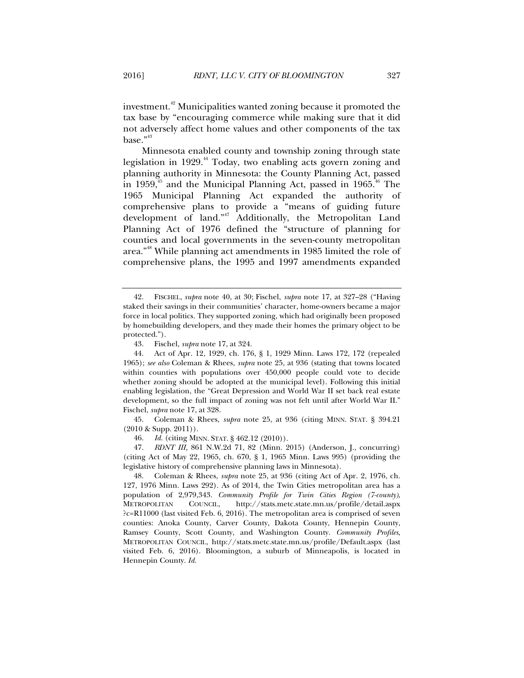investment.42 Municipalities wanted zoning because it promoted the tax base by "encouraging commerce while making sure that it did not adversely affect home values and other components of the tax base."<sup>43</sup>

Minnesota enabled county and township zoning through state legislation in 1929.<sup>44</sup> Today, two enabling acts govern zoning and planning authority in Minnesota: the County Planning Act, passed in 1959, $45$  and the Municipal Planning Act, passed in 1965. $46$  The 1965 Municipal Planning Act expanded the authority of comprehensive plans to provide a "means of guiding future development of land."47 Additionally, the Metropolitan Land Planning Act of 1976 defined the "structure of planning for counties and local governments in the seven-county metropolitan area."48 While planning act amendments in 1985 limited the role of comprehensive plans, the 1995 and 1997 amendments expanded

 45. Coleman & Rhees, *supra* note 25, at 936 (citing MINN. STAT. § 394.21 (2010 & Supp. 2011)).

46. *Id.* (citing MINN. STAT. § 462.12 (2010)).

 47. *RDNT III,* 861 N.W.2d 71, 82 (Minn. 2015) (Anderson, J., concurring) (citing Act of May 22, 1965, ch. 670, § 1, 1965 Minn. Laws 995) (providing the legislative history of comprehensive planning laws in Minnesota).

 48. Coleman & Rhees, *supra* note 25, at 936 (citing Act of Apr. 2, 1976, ch. 127, 1976 Minn. Laws 292). As of 2014, the Twin Cities metropolitan area has a population of 2,979,343. *Community Profile for Twin Cities Region (7-county)*, METROPOLITAN COUNCIL, http://stats.metc.state.mn.us/profile/detail.aspx ?c=R11000 (last visited Feb. 6, 2016). The metropolitan area is comprised of seven counties: Anoka County, Carver County, Dakota County, Hennepin County, Ramsey County, Scott County, and Washington County. *Community Profiles*, METROPOLITAN COUNCIL, http://stats.metc.state.mn.us/profile/Default.aspx (last visited Feb. 6, 2016). Bloomington, a suburb of Minneapolis, is located in Hennepin County. *Id.* 

 <sup>42.</sup> FISCHEL, *supra* note 40, at 30; Fischel, *supra* note 17, at 327–28 ("Having staked their savings in their communities' character, home-owners became a major force in local politics. They supported zoning, which had originally been proposed by homebuilding developers, and they made their homes the primary object to be protected.").

 <sup>43.</sup> Fischel, *supra* note 17, at 324.

 <sup>44.</sup> Act of Apr. 12, 1929, ch. 176, § 1, 1929 Minn. Laws 172, 172 (repealed 1965); *see also* Coleman & Rhees, *supra* note 25, at 936 (stating that towns located within counties with populations over 450,000 people could vote to decide whether zoning should be adopted at the municipal level). Following this initial enabling legislation, the "Great Depression and World War II set back real estate development, so the full impact of zoning was not felt until after World War II." Fischel, *supra* note 17, at 328.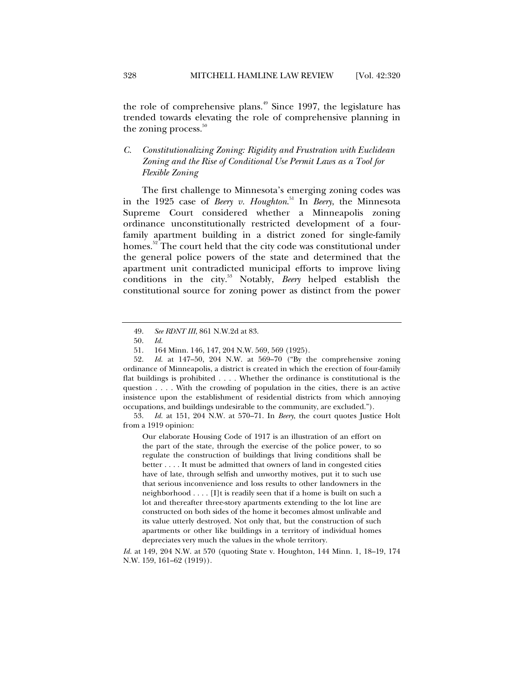the role of comprehensive plans. $49$  Since 1997, the legislature has trended towards elevating the role of comprehensive planning in the zoning process. $50$ 

## *C. Constitutionalizing Zoning: Rigidity and Frustration with Euclidean Zoning and the Rise of Conditional Use Permit Laws as a Tool for Flexible Zoning*

The first challenge to Minnesota's emerging zoning codes was in the 1925 case of *Beery v. Houghton*. 51 In *Beery*, the Minnesota Supreme Court considered whether a Minneapolis zoning ordinance unconstitutionally restricted development of a fourfamily apartment building in a district zoned for single-family homes.<sup>52</sup> The court held that the city code was constitutional under the general police powers of the state and determined that the apartment unit contradicted municipal efforts to improve living conditions in the city.53 Notably, *Beery* helped establish the constitutional source for zoning power as distinct from the power

 53. *Id.* at 151, 204 N.W. at 570–71. In *Beery*, the court quotes Justice Holt from a 1919 opinion:

Our elaborate Housing Code of 1917 is an illustration of an effort on the part of the state, through the exercise of the police power, to so regulate the construction of buildings that living conditions shall be better . . . . It must be admitted that owners of land in congested cities have of late, through selfish and unworthy motives, put it to such use that serious inconvenience and loss results to other landowners in the neighborhood . . . . [I]t is readily seen that if a home is built on such a lot and thereafter three-story apartments extending to the lot line are constructed on both sides of the home it becomes almost unlivable and its value utterly destroyed. Not only that, but the construction of such apartments or other like buildings in a territory of individual homes depreciates very much the values in the whole territory.

*Id.* at 149, 204 N.W. at 570 (quoting State v. Houghton, 144 Minn. 1, 18–19, 174 N.W. 159, 161–62 (1919)).

 <sup>49.</sup> *See RDNT III*, 861 N.W.2d at 83.

 <sup>50.</sup> *Id.*

 <sup>51. 164</sup> Minn. 146, 147, 204 N.W. 569, 569 (1925).

 <sup>52.</sup> *Id.* at 147–50, 204 N.W. at 569–70 ("By the comprehensive zoning ordinance of Minneapolis, a district is created in which the erection of four-family flat buildings is prohibited . . . . Whether the ordinance is constitutional is the question . . . . With the crowding of population in the cities, there is an active insistence upon the establishment of residential districts from which annoying occupations, and buildings undesirable to the community, are excluded.").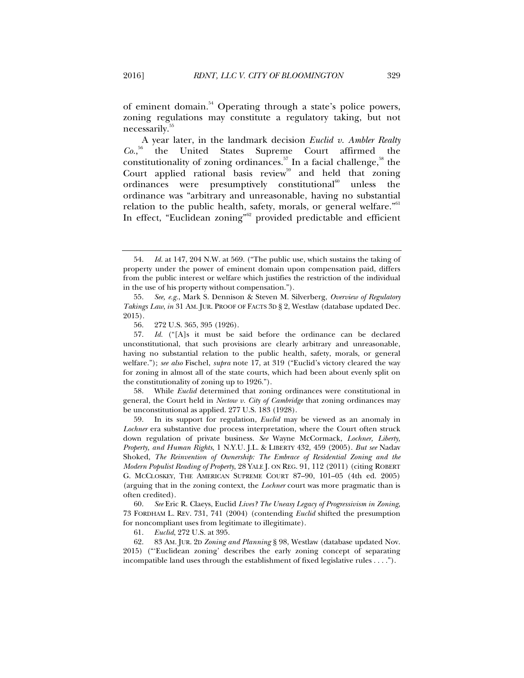of eminent domain.<sup>54</sup> Operating through a state's police powers, zoning regulations may constitute a regulatory taking, but not necessarily.<sup>55</sup>

A year later, in the landmark decision *Euclid v. Ambler Realty*   $Co.,<sup>56</sup>$ 56 the United States Supreme Court affirmed the constitutionality of zoning ordinances.<sup>57</sup> In a facial challenge,<sup>58</sup> the Court applied rational basis review<sup>59</sup> and held that zoning ordinances were presumptively constitutional $^{60}$  unless the ordinance was "arbitrary and unreasonable, having no substantial relation to the public health, safety, morals, or general welfare."<sup>61</sup> In effect, "Euclidean zoning"<sup>62</sup> provided predictable and efficient

 58. While *Euclid* determined that zoning ordinances were constitutional in general, the Court held in *Nectow v. City of Cambridge* that zoning ordinances may be unconstitutional as applied. 277 U.S. 183 (1928).

 59. In its support for regulation, *Euclid* may be viewed as an anomaly in *Lochner* era substantive due process interpretation, where the Court often struck down regulation of private business. *See* Wayne McCormack, *Lochner, Liberty, Property, and Human Rights*, 1 N.Y.U. J.L. & LIBERTY 432, 459 (2005). *But see* Nadav Shoked, *The Reinvention of Ownership: The Embrace of Residential Zoning and the Modern Populist Reading of Property*, 28 YALE J. ON REG. 91, 112 (2011) (citing ROBERT G. MCCLOSKEY, THE AMERICAN SUPREME COURT 87–90, 101–05 (4th ed. 2005) (arguing that in the zoning context, the *Lochner* court was more pragmatic than is often credited).

 60. *See* Eric R. Claeys, Euclid *Lives? The Uneasy Legacy of Progressivism in Zoning*, 73 FORDHAM L. REV. 731, 741 (2004) (contending *Euclid* shifted the presumption for noncompliant uses from legitimate to illegitimate).

61. *Euclid*, 272 U.S. at 395.

 62. 83 AM. JUR. 2D *Zoning and Planning* § 98, Westlaw (database updated Nov. 2015) ("'Euclidean zoning' describes the early zoning concept of separating incompatible land uses through the establishment of fixed legislative rules . . . .").

 <sup>54.</sup> *Id.* at 147, 204 N.W. at 569. ("The public use, which sustains the taking of property under the power of eminent domain upon compensation paid, differs from the public interest or welfare which justifies the restriction of the individual in the use of his property without compensation.").

 <sup>55.</sup> *See, e.g.*, Mark S. Dennison & Steven M. Silverberg, *Overview of Regulatory Takings Law*, *in* 31 AM. JUR. PROOF OF FACTS 3D § 2, Westlaw (database updated Dec. 2015).

 <sup>56. 272</sup> U.S. 365, 395 (1926).

 <sup>57.</sup> *Id.* ("[A]s it must be said before the ordinance can be declared unconstitutional, that such provisions are clearly arbitrary and unreasonable, having no substantial relation to the public health, safety, morals, or general welfare."); *see also* Fischel, *supra* note 17, at 319 ("Euclid's victory cleared the way for zoning in almost all of the state courts, which had been about evenly split on the constitutionality of zoning up to 1926.").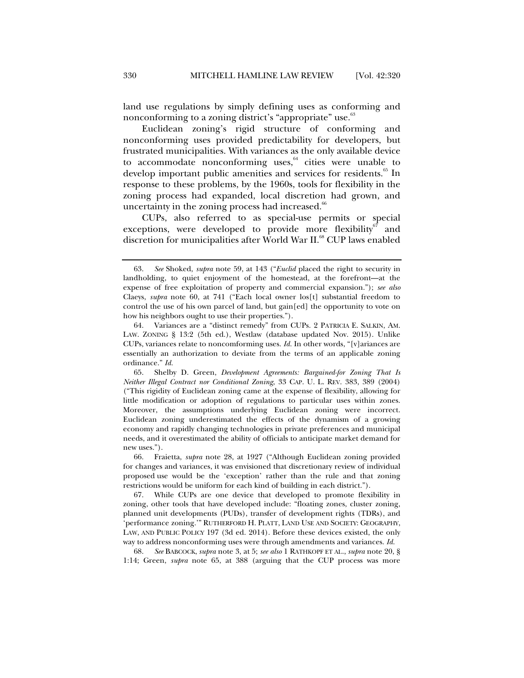land use regulations by simply defining uses as conforming and nonconforming to a zoning district's "appropriate" use.<sup>63</sup>

Euclidean zoning's rigid structure of conforming and nonconforming uses provided predictability for developers, but frustrated municipalities. With variances as the only available device to accommodate nonconforming uses, $64$  cities were unable to develop important public amenities and services for residents.<sup>65</sup> In response to these problems, by the 1960s, tools for flexibility in the zoning process had expanded, local discretion had grown, and uncertainty in the zoning process had increased.<sup>66</sup>

CUPs, also referred to as special-use permits or special exceptions, were developed to provide more flexibility<sup>67</sup> and discretion for municipalities after World War II.<sup>68</sup> CUP laws enabled

 68. *See* BABCOCK, *supra* note 3, at 5; *see also* 1 RATHKOPF ET AL., *supra* note 20, § 1:14; Green, *supra* note 65, at 388 (arguing that the CUP process was more

 <sup>63.</sup> *See* Shoked, *supra* note 59, at 143 ("*Euclid* placed the right to security in landholding, to quiet enjoyment of the homestead, at the forefront—at the expense of free exploitation of property and commercial expansion."); *see also*  Claeys, *supra* note 60, at 741 ("Each local owner los[t] substantial freedom to control the use of his own parcel of land, but gain[ed] the opportunity to vote on how his neighbors ought to use their properties.").

 <sup>64.</sup> Variances are a "distinct remedy" from CUPs. 2 PATRICIA E. SALKIN, AM. LAW. ZONING § 13:2 (5th ed.), Westlaw (database updated Nov. 2015). Unlike CUPs, variances relate to noncomforming uses. *Id.* In other words, "[v]ariances are essentially an authorization to deviate from the terms of an applicable zoning ordinance." *Id.*

 <sup>65.</sup> Shelby D. Green, *Development Agreements: Bargained-for Zoning That Is Neither Illegal Contract nor Conditional Zoning*, 33 CAP. U. L. REV. 383, 389 (2004) ("This rigidity of Euclidean zoning came at the expense of flexibility, allowing for little modification or adoption of regulations to particular uses within zones. Moreover, the assumptions underlying Euclidean zoning were incorrect. Euclidean zoning underestimated the effects of the dynamism of a growing economy and rapidly changing technologies in private preferences and municipal needs, and it overestimated the ability of officials to anticipate market demand for new uses.").

 <sup>66.</sup> Fraietta, *supra* note 28, at 1927 ("Although Euclidean zoning provided for changes and variances, it was envisioned that discretionary review of individual proposed use would be the 'exception' rather than the rule and that zoning restrictions would be uniform for each kind of building in each district.").

 <sup>67.</sup> While CUPs are one device that developed to promote flexibility in zoning, other tools that have developed include: "floating zones, cluster zoning, planned unit developments (PUDs), transfer of development rights (TDRs), and 'performance zoning.'" RUTHERFORD H. PLATT, LAND USE AND SOCIETY: GEOGRAPHY, LAW, AND PUBLIC POLICY 197 (3d ed. 2014). Before these devices existed, the only way to address nonconforming uses were through amendments and variances. *Id.*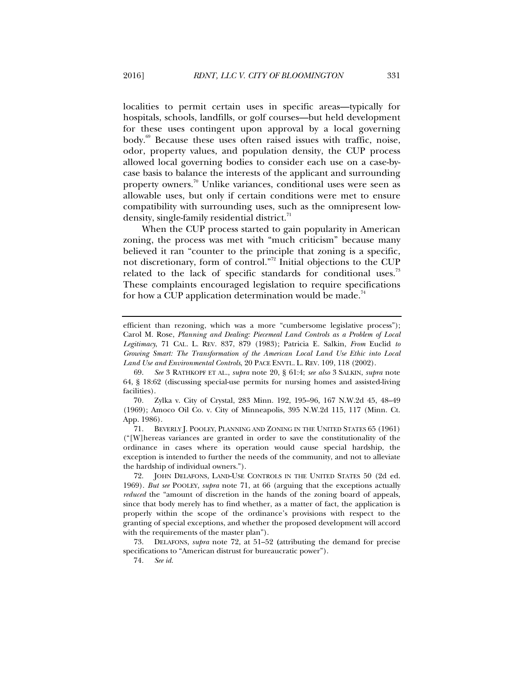localities to permit certain uses in specific areas—typically for hospitals, schools, landfills, or golf courses—but held development for these uses contingent upon approval by a local governing body.<sup>69</sup> Because these uses often raised issues with traffic, noise, odor, property values, and population density, the CUP process allowed local governing bodies to consider each use on a case-bycase basis to balance the interests of the applicant and surrounding property owners.<sup>70</sup> Unlike variances, conditional uses were seen as allowable uses, but only if certain conditions were met to ensure compatibility with surrounding uses, such as the omnipresent lowdensity, single-family residential district. $71$ 

When the CUP process started to gain popularity in American zoning, the process was met with "much criticism" because many believed it ran "counter to the principle that zoning is a specific, not discretionary, form of control."<sup>72</sup> Initial objections to the CUP related to the lack of specific standards for conditional uses.<sup>73</sup> These complaints encouraged legislation to require specifications for how a CUP application determination would be made.<sup>74</sup>

efficient than rezoning, which was a more "cumbersome legislative process"); Carol M. Rose, *Planning and Dealing: Piecemeal Land Controls as a Problem of Local Legitimacy*, 71 CAL. L. REV. 837, 879 (1983); Patricia E. Salkin, *From* Euclid *to Growing Smart: The Transformation of the American Local Land Use Ethic into Local Land Use and Environmental Controls*, 20 PACE ENVTL. L. REV. 109, 118 (2002).

 <sup>69.</sup> *See* 3 RATHKOPF ET AL., *supra* note 20, § 61:4; *see also* 3 SALKIN, *supra* note 64, § 18:62 (discussing special-use permits for nursing homes and assisted-living facilities).

<sup>70</sup>*.* Zylka v. City of Crystal, 283 Minn. 192, 195–96, 167 N.W.2d 45, 48–49 (1969); Amoco Oil Co. v. City of Minneapolis, 395 N.W.2d 115, 117 (Minn. Ct. App. 1986).

 <sup>71.</sup> BEVERLY J. POOLEY, PLANNING AND ZONING IN THE UNITED STATES 65 (1961) ("[W]hereas variances are granted in order to save the constitutionality of the ordinance in cases where its operation would cause special hardship, the exception is intended to further the needs of the community, and not to alleviate the hardship of individual owners.").

 <sup>72.</sup> JOHN DELAFONS, LAND-USE CONTROLS IN THE UNITED STATES 50 (2d ed. 1969). *But see* POOLEY, *supra* note 71, at 66 (arguing that the exceptions actually *reduced* the "amount of discretion in the hands of the zoning board of appeals, since that body merely has to find whether, as a matter of fact, the application is properly within the scope of the ordinance's provisions with respect to the granting of special exceptions, and whether the proposed development will accord with the requirements of the master plan").

 <sup>73.</sup> DELAFONS, *supra* note 72, at 51–52 **(**attributing the demand for precise specifications to "American distrust for bureaucratic power").

<sup>74</sup>*. See id.*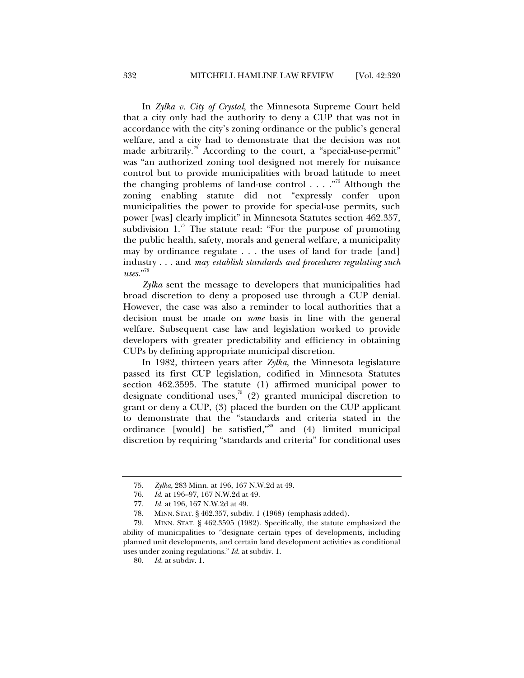In *Zylka v. City of Crystal*, the Minnesota Supreme Court held that a city only had the authority to deny a CUP that was not in accordance with the city's zoning ordinance or the public's general welfare, and a city had to demonstrate that the decision was not made arbitrarily.<sup>75</sup> According to the court, a "special-use-permit" was "an authorized zoning tool designed not merely for nuisance control but to provide municipalities with broad latitude to meet the changing problems of land-use control  $\dots$ ."<sup>76</sup> Although the zoning enabling statute did not "expressly confer upon municipalities the power to provide for special-use permits, such power [was] clearly implicit" in Minnesota Statutes section 462.357, subdivision  $1<sup>77</sup>$ . The statute read: "For the purpose of promoting the public health, safety, morals and general welfare, a municipality may by ordinance regulate . . . the uses of land for trade [and] industry . . . and *may establish standards and procedures regulating such uses*."<sup>78</sup>

*Zylka* sent the message to developers that municipalities had broad discretion to deny a proposed use through a CUP denial. However, the case was also a reminder to local authorities that a decision must be made on *some* basis in line with the general welfare. Subsequent case law and legislation worked to provide developers with greater predictability and efficiency in obtaining CUPs by defining appropriate municipal discretion.

In 1982, thirteen years after *Zylka*, the Minnesota legislature passed its first CUP legislation, codified in Minnesota Statutes section 462.3595. The statute (1) affirmed municipal power to designate conditional uses,<sup>79</sup> (2) granted municipal discretion to grant or deny a CUP, (3) placed the burden on the CUP applicant to demonstrate that the "standards and criteria stated in the ordinance [would] be satisfied,"80 and (4) limited municipal discretion by requiring "standards and criteria" for conditional uses

 <sup>75.</sup> *Zylka*, 283 Minn. at 196, 167 N.W.2d at 49.

 <sup>76.</sup> *Id*. at 196–97, 167 N.W.2d at 49.

 <sup>77.</sup> *Id.* at 196, 167 N.W.2d at 49.

 <sup>78.</sup> MINN. STAT. § 462.357, subdiv. 1 (1968) (emphasis added).

 <sup>79.</sup> MINN. STAT. § 462.3595 (1982). Specifically, the statute emphasized the ability of municipalities to "designate certain types of developments, including planned unit developments, and certain land development activities as conditional uses under zoning regulations." *Id.* at subdiv. 1.

 <sup>80.</sup> *Id.* at subdiv. 1.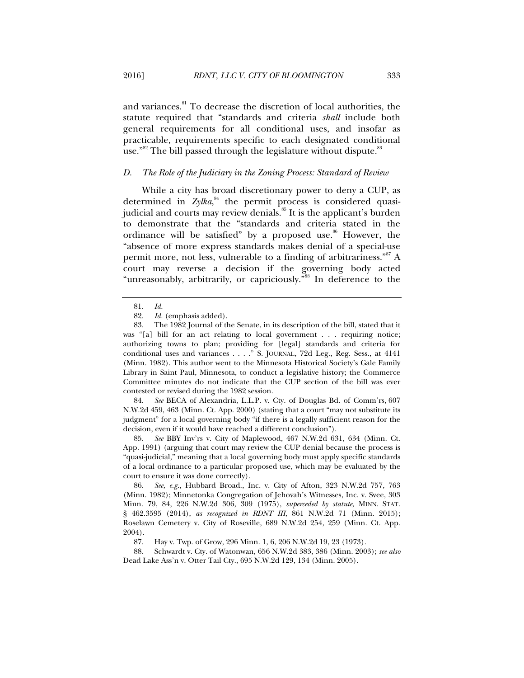and variances.<sup>81</sup> To decrease the discretion of local authorities, the statute required that "standards and criteria *shall* include both general requirements for all conditional uses, and insofar as practicable, requirements specific to each designated conditional use."<sup>82</sup> The bill passed through the legislature without dispute."

#### *D. The Role of the Judiciary in the Zoning Process: Standard of Review*

While a city has broad discretionary power to deny a CUP, as determined in *Zylka*,<sup>84</sup> the permit process is considered quasijudicial and courts may review denials.<sup>85</sup> It is the applicant's burden to demonstrate that the "standards and criteria stated in the ordinance will be satisfied" by a proposed use.<sup>86</sup> However, the "absence of more express standards makes denial of a special-use permit more, not less, vulnerable to a finding of arbitrariness."<sup>87</sup> A court may reverse a decision if the governing body acted "unreasonably, arbitrarily, or capriciously."<sup>88</sup> In deference to the

 84. *See* BECA of Alexandria, L.L.P. v. Cty. of Douglas Bd. of Comm'rs, 607 N.W.2d 459, 463 (Minn. Ct. App. 2000) (stating that a court "may not substitute its judgment" for a local governing body "if there is a legally sufficient reason for the decision, even if it would have reached a different conclusion").

 85. *See* BBY Inv'rs v. City of Maplewood, 467 N.W.2d 631, 634 (Minn. Ct. App. 1991) (arguing that court may review the CUP denial because the process is "quasi-judicial," meaning that a local governing body must apply specific standards of a local ordinance to a particular proposed use, which may be evaluated by the court to ensure it was done correctly).

 86. *See, e.g.*, Hubbard Broad., Inc. v. City of Afton, 323 N.W.2d 757, 763 (Minn. 1982); Minnetonka Congregation of Jehovah's Witnesses, Inc. v. Svee, 303 Minn. 79, 84, 226 N.W.2d 306, 309 (1975), *superceded by statute*, MINN. STAT. § 462.3595 (2014), *as recognized in RDNT III*, 861 N.W.2d 71 (Minn. 2015); Roselawn Cemetery v. City of Roseville, 689 N.W.2d 254, 259 (Minn. Ct. App. 2004).

87. Hay v. Twp. of Grow, 296 Minn. 1, 6, 206 N.W.2d 19, 23 (1973).

 88. Schwardt v. Cty. of Watonwan, 656 N.W.2d 383, 386 (Minn. 2003); *see also* Dead Lake Ass'n v. Otter Tail Cty., 695 N.W.2d 129, 134 (Minn. 2005).

 <sup>81.</sup> *Id.*

 <sup>82.</sup> *Id.* (emphasis added).

 <sup>83.</sup> The 1982 Journal of the Senate, in its description of the bill, stated that it was "[a] bill for an act relating to local government . . . requiring notice; authorizing towns to plan; providing for [legal] standards and criteria for conditional uses and variances . . . ." S. JOURNAL, 72d Leg., Reg. Sess., at 4141 (Minn. 1982). This author went to the Minnesota Historical Society's Gale Family Library in Saint Paul, Minnesota, to conduct a legislative history; the Commerce Committee minutes do not indicate that the CUP section of the bill was ever contested or revised during the 1982 session.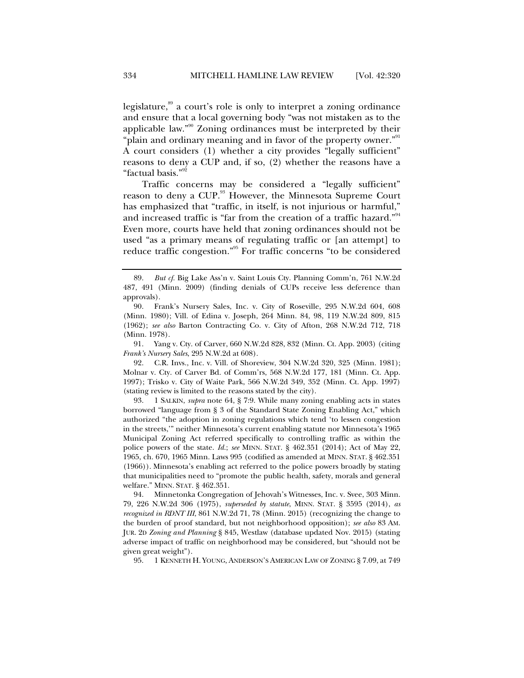legislature, $\frac{89}{9}$  a court's role is only to interpret a zoning ordinance and ensure that a local governing body "was not mistaken as to the applicable law."90 Zoning ordinances must be interpreted by their "plain and ordinary meaning and in favor of the property owner."<sup>91</sup> A court considers (1) whether a city provides "legally sufficient" reasons to deny a CUP and, if so, (2) whether the reasons have a "factual basis."<sup>92</sup>

Traffic concerns may be considered a "legally sufficient" reason to deny a CUP.<sup>93</sup> However, the Minnesota Supreme Court has emphasized that "traffic, in itself, is not injurious or harmful," and increased traffic is "far from the creation of a traffic hazard."<sup>94</sup> Even more, courts have held that zoning ordinances should not be used "as a primary means of regulating traffic or [an attempt] to reduce traffic congestion."95 For traffic concerns "to be considered

 91. Yang v. Cty. of Carver, 660 N.W.2d 828, 832 (Minn. Ct. App. 2003) (citing *Frank's Nursery Sales*, 295 N.W.2d at 608).

 92. C.R. Invs., Inc. v. Vill. of Shoreview, 304 N.W.2d 320, 325 (Minn. 1981); Molnar v. Cty. of Carver Bd. of Comm'rs, 568 N.W.2d 177, 181 (Minn. Ct. App. 1997); Trisko v. City of Waite Park, 566 N.W.2d 349, 352 (Minn. Ct. App. 1997) (stating review is limited to the reasons stated by the city).

 93. 1 SALKIN, *supra* note 64, § 7:9. While many zoning enabling acts in states borrowed "language from § 3 of the Standard State Zoning Enabling Act," which authorized "the adoption in zoning regulations which tend 'to lessen congestion in the streets,'" neither Minnesota's current enabling statute nor Minnesota's 1965 Municipal Zoning Act referred specifically to controlling traffic as within the police powers of the state. *Id.*; *see* MINN. STAT. § 462.351 (2014); Act of May 22, 1965, ch. 670, 1965 Minn. Laws 995 (codified as amended at MINN. STAT. § 462.351 (1966)). Minnesota's enabling act referred to the police powers broadly by stating that municipalities need to "promote the public health, safety, morals and general welfare." MINN. STAT. § 462.351.

 94. Minnetonka Congregation of Jehovah's Witnesses, Inc. v. Svee, 303 Minn. 79, 226 N.W.2d 306 (1975), *superseded by statute*, MINN. STAT. § 3595 (2014), *as recognized in RDNT III*, 861 N.W.2d 71, 78 (Minn. 2015) (recognizing the change to the burden of proof standard, but not neighborhood opposition); *see also* 83 AM. JUR. 2D *Zoning and Planning* § 845, Westlaw (database updated Nov. 2015) (stating adverse impact of traffic on neighborhood may be considered, but "should not be given great weight").

95. 1 KENNETH H. YOUNG, ANDERSON'S AMERICAN LAW OF ZONING § 7.09, at 749

 <sup>89.</sup> *But cf.* Big Lake Ass'n v. Saint Louis Cty. Planning Comm'n, 761 N.W.2d 487, 491 (Minn. 2009) (finding denials of CUPs receive less deference than approvals).

 <sup>90.</sup> Frank's Nursery Sales, Inc. v. City of Roseville, 295 N.W.2d 604, 608 (Minn. 1980); Vill. of Edina v. Joseph, 264 Minn. 84, 98, 119 N.W.2d 809, 815 (1962); *see also* Barton Contracting Co. v. City of Afton, 268 N.W.2d 712, 718 (Minn. 1978).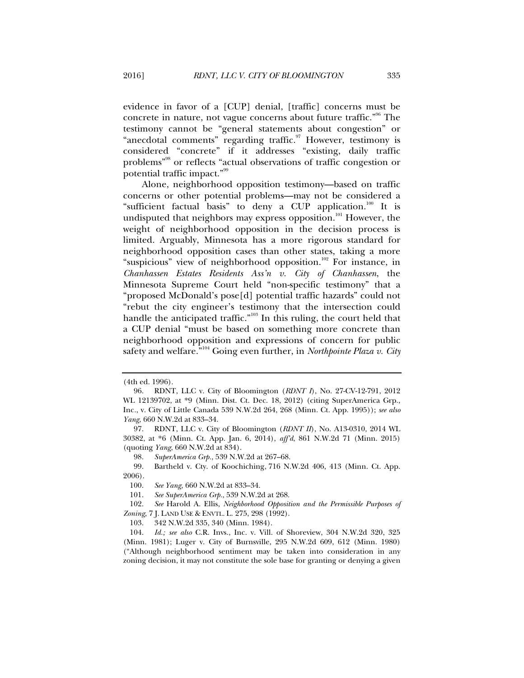evidence in favor of a [CUP] denial, [traffic] concerns must be concrete in nature, not vague concerns about future traffic."<sup>96</sup> The testimony cannot be "general statements about congestion" or "anecdotal comments" regarding traffic.<sup>97</sup> However, testimony is considered "concrete" if it addresses "existing, daily traffic problems"98 or reflects "actual observations of traffic congestion or potential traffic impact."<sup>99</sup>

Alone, neighborhood opposition testimony—based on traffic concerns or other potential problems—may not be considered a "sufficient factual basis" to deny a CUP application. $100$  It is undisputed that neighbors may express opposition.<sup>101</sup> However, the weight of neighborhood opposition in the decision process is limited. Arguably, Minnesota has a more rigorous standard for neighborhood opposition cases than other states, taking a more "suspicious" view of neighborhood opposition.<sup>102</sup> For instance, in *Chanhassen Estates Residents Ass'n v. City of Chanhassen*, the Minnesota Supreme Court held "non-specific testimony" that a "proposed McDonald's pose[d] potential traffic hazards" could not "rebut the city engineer's testimony that the intersection could handle the anticipated traffic."103 In this ruling, the court held that a CUP denial "must be based on something more concrete than neighborhood opposition and expressions of concern for public safety and welfare."104 Going even further, in *Northpointe Plaza v. City* 

<sup>(4</sup>th ed. 1996).

 <sup>96.</sup> RDNT, LLC v. City of Bloomington (*RDNT I*), No. 27-CV-12-791, 2012 WL 12139702, at \*9 (Minn. Dist. Ct. Dec. 18, 2012) (citing SuperAmerica Grp., Inc*.*, v. City of Little Canada 539 N.W.2d 264, 268 (Minn. Ct. App. 1995)); *see also Yang*, 660 N.W.2d at 833–34.

 <sup>97.</sup> RDNT, LLC v. City of Bloomington (*RDNT II*), No. A13-0310, 2014 WL 30382, at \*6 (Minn. Ct. App. Jan. 6, 2014), *aff'd*, 861 N.W.2d 71 (Minn. 2015) (quoting *Yang*, 660 N.W.2d at 834).

 <sup>98.</sup> *SuperAmerica Grp.*, 539 N.W.2d at 267–68.

 <sup>99.</sup> Bartheld v. Cty. of Koochiching, 716 N.W.2d 406, 413 (Minn. Ct. App. 2006).

 <sup>100.</sup> *See Yang*, 660 N.W.2d at 833–34.

 <sup>101.</sup> *See SuperAmerica Grp.*, 539 N.W.2d at 268.

 <sup>102.</sup> *See* Harold A. Ellis, *Neighborhood Opposition and the Permissible Purposes of Zoning*, 7 J. LAND USE & ENVTL. L. 275, 298 (1992).

 <sup>103. 342</sup> N.W.2d 335, 340 (Minn. 1984).

 <sup>104.</sup> *Id.; see also* C.R. Invs., Inc. v. Vill. of Shoreview, 304 N.W.2d 320, 325 (Minn. 1981); Luger v. City of Burnsville, 295 N.W.2d 609, 612 (Minn. 1980) ("Although neighborhood sentiment may be taken into consideration in any zoning decision, it may not constitute the sole base for granting or denying a given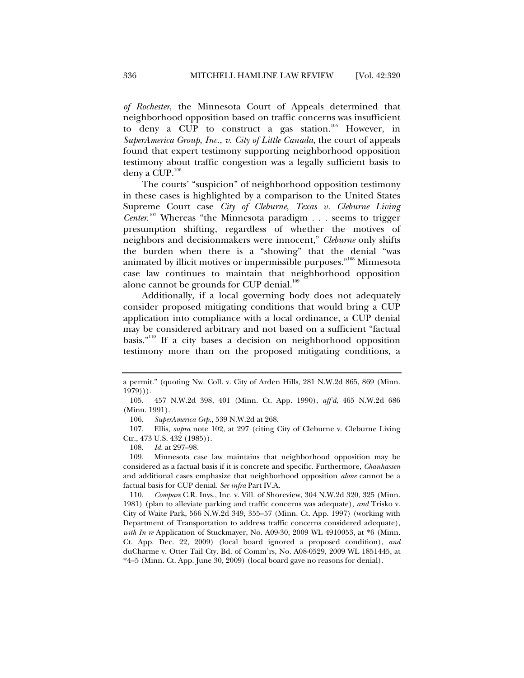*of Rochester*, the Minnesota Court of Appeals determined that neighborhood opposition based on traffic concerns was insufficient to deny a CUP to construct a gas station.<sup>105</sup> However, in *SuperAmerica Group, Inc., v. City of Little Canada*, the court of appeals found that expert testimony supporting neighborhood opposition testimony about traffic congestion was a legally sufficient basis to deny a CUP. $^{106}$ 

The courts' "suspicion" of neighborhood opposition testimony in these cases is highlighted by a comparison to the United States Supreme Court case *City of Cleburne, Texas v. Cleburne Living Center*. 107 Whereas "the Minnesota paradigm . . . seems to trigger presumption shifting, regardless of whether the motives of neighbors and decisionmakers were innocent," *Cleburne* only shifts the burden when there is a "showing" that the denial "was animated by illicit motives or impermissible purposes."108 Minnesota case law continues to maintain that neighborhood opposition alone cannot be grounds for CUP denial.<sup>109</sup>

Additionally, if a local governing body does not adequately consider proposed mitigating conditions that would bring a CUP application into compliance with a local ordinance, a CUP denial may be considered arbitrary and not based on a sufficient "factual basis."110 If a city bases a decision on neighborhood opposition testimony more than on the proposed mitigating conditions, a

a permit." (quoting Nw. Coll. v. City of Arden Hills, 281 N.W.2d 865, 869 (Minn. 1979))).

 <sup>105. 457</sup> N.W.2d 398, 401 (Minn. Ct. App. 1990), *aff'd*, 465 N.W.2d 686 (Minn. 1991).

 <sup>106.</sup> *SuperAmerica Grp.*, 539 N.W.2d at 268.

 <sup>107.</sup> Ellis, *supra* note 102, at 297 (citing City of Cleburne v. Cleburne Living Ctr., 473 U.S. 432 (1985)).

 <sup>108.</sup> *Id.* at 297–98.

 <sup>109.</sup> Minnesota case law maintains that neighborhood opposition may be considered as a factual basis if it is concrete and specific. Furthermore, *Chanhassen*  and additional cases emphasize that neighborhood opposition *alone* cannot be a factual basis for CUP denial. *See infra* Part IV.A.

 <sup>110.</sup> *Compare* C.R. Invs., Inc. v. Vill. of Shoreview, 304 N.W.2d 320, 325 (Minn. 1981) (plan to alleviate parking and traffic concerns was adequate), *and* Trisko v. City of Waite Park, 566 N.W.2d 349, 355–57 (Minn. Ct. App. 1997) (working with Department of Transportation to address traffic concerns considered adequate), *with In re* Application of Stuckmayer, No. A09-30, 2009 WL 4910053, at \*6 (Minn. Ct. App. Dec. 22, 2009) (local board ignored a proposed condition), *and* duCharme v. Otter Tail Cty. Bd. of Comm'rs, No. A08-0529, 2009 WL 1851445, at \*4–5 (Minn. Ct. App. June 30, 2009) (local board gave no reasons for denial).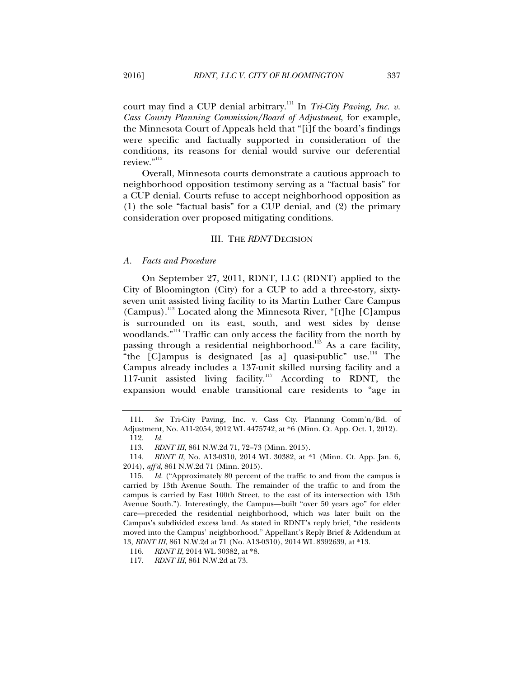court may find a CUP denial arbitrary.<sup>111</sup> In *Tri-City Paving, Inc. v. Cass County Planning Commission/Board of Adjustment*, for example, the Minnesota Court of Appeals held that "[i]f the board's findings were specific and factually supported in consideration of the conditions, its reasons for denial would survive our deferential review."<sup>112</sup>

Overall, Minnesota courts demonstrate a cautious approach to neighborhood opposition testimony serving as a "factual basis" for a CUP denial. Courts refuse to accept neighborhood opposition as (1) the sole "factual basis" for a CUP denial, and (2) the primary consideration over proposed mitigating conditions.

#### III. THE *RDNT* DECISION

#### *A. Facts and Procedure*

On September 27, 2011, RDNT, LLC (RDNT) applied to the City of Bloomington (City) for a CUP to add a three-story, sixtyseven unit assisted living facility to its Martin Luther Care Campus (Campus).113 Located along the Minnesota River, "[t]he [C]ampus is surrounded on its east, south, and west sides by dense woodlands."114 Traffic can only access the facility from the north by passing through a residential neighborhood.<sup>115</sup> As a care facility, "the  $[C]$ ampus is designated [as a] quasi-public" use.<sup>116</sup> The Campus already includes a 137-unit skilled nursing facility and a 117-unit assisted living facility.117 According to RDNT, the expansion would enable transitional care residents to "age in

 <sup>111.</sup> *See* Tri-City Paving, Inc. v. Cass Cty. Planning Comm'n/Bd. of Adjustment, No. A11-2054, 2012 WL 4475742, at \*6 (Minn. Ct. App. Oct. 1, 2012).

 <sup>112.</sup> *Id.* 

 <sup>113.</sup> *RDNT III*, 861 N.W.2d 71, 72–73 (Minn. 2015).

 <sup>114.</sup> *RDNT II*, No. A13-0310, 2014 WL 30382, at \*1 (Minn. Ct. App. Jan. 6, 2014), *aff'd*, 861 N.W.2d 71 (Minn. 2015).

 <sup>115.</sup> *Id.* ("Approximately 80 percent of the traffic to and from the campus is carried by 13th Avenue South. The remainder of the traffic to and from the campus is carried by East 100th Street, to the east of its intersection with 13th Avenue South."). Interestingly, the Campus—built "over 50 years ago" for elder care—preceded the residential neighborhood, which was later built on the Campus's subdivided excess land. As stated in RDNT's reply brief, "the residents moved into the Campus' neighborhood." Appellant's Reply Brief & Addendum at 13, *RDNT III*, 861 N.W.2d at 71 (No. A13-0310), 2014 WL 8392639, at \*13.

 <sup>116.</sup> *RDNT II*, 2014 WL 30382, at \*8.

 <sup>117.</sup> *RDNT III*, 861 N.W.2d at 73.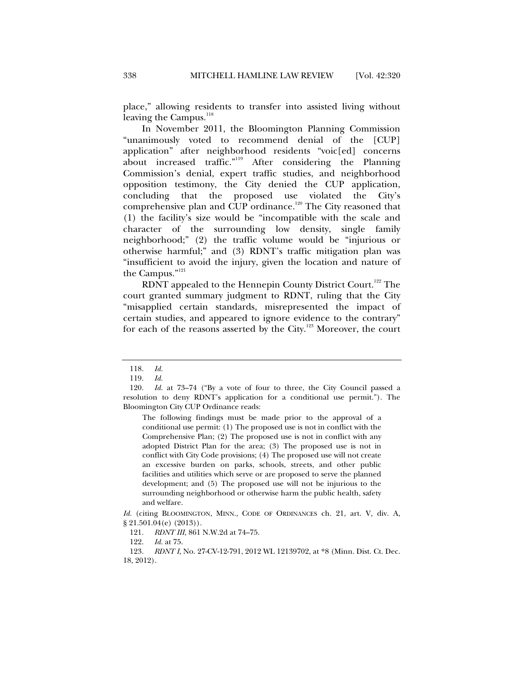place," allowing residents to transfer into assisted living without leaving the Campus.<sup>118</sup>

In November 2011, the Bloomington Planning Commission "unanimously voted to recommend denial of the [CUP] application" after neighborhood residents "voic[ed] concerns about increased traffic."119 After considering the Planning Commission's denial, expert traffic studies, and neighborhood opposition testimony, the City denied the CUP application, concluding that the proposed use violated the City's comprehensive plan and CUP ordinance.<sup>120</sup> The City reasoned that (1) the facility's size would be "incompatible with the scale and character of the surrounding low density, single family neighborhood;" (2) the traffic volume would be "injurious or otherwise harmful;" and (3) RDNT's traffic mitigation plan was "insufficient to avoid the injury, given the location and nature of the Campus."<sup>121</sup>

RDNT appealed to the Hennepin County District Court.<sup>122</sup> The court granted summary judgment to RDNT, ruling that the City "misapplied certain standards, misrepresented the impact of certain studies, and appeared to ignore evidence to the contrary" for each of the reasons asserted by the City.123 Moreover, the court

The following findings must be made prior to the approval of a conditional use permit: (1) The proposed use is not in conflict with the Comprehensive Plan; (2) The proposed use is not in conflict with any adopted District Plan for the area; (3) The proposed use is not in conflict with City Code provisions; (4) The proposed use will not create an excessive burden on parks, schools, streets, and other public facilities and utilities which serve or are proposed to serve the planned development; and (5) The proposed use will not be injurious to the surrounding neighborhood or otherwise harm the public health, safety and welfare.

 <sup>118.</sup> *Id.*

 <sup>119.</sup> *Id.*

 <sup>120.</sup> *Id.* at 73–74 ("By a vote of four to three, the City Council passed a resolution to deny RDNT's application for a conditional use permit."). The Bloomington City CUP Ordinance reads:

*Id.* (citing BLOOMINGTON, MINN., CODE OF ORDINANCES ch. 21, art. V, div. A, § 21.501.04(e) (2013)).

 <sup>121.</sup> *RDNT III*, 861 N.W.2d at 74–75.

 <sup>122.</sup> *Id.* at 75.

 <sup>123.</sup> *RDNT I*, No. 27-CV-12-791, 2012 WL 12139702, at \*8 (Minn. Dist. Ct. Dec. 18, 2012).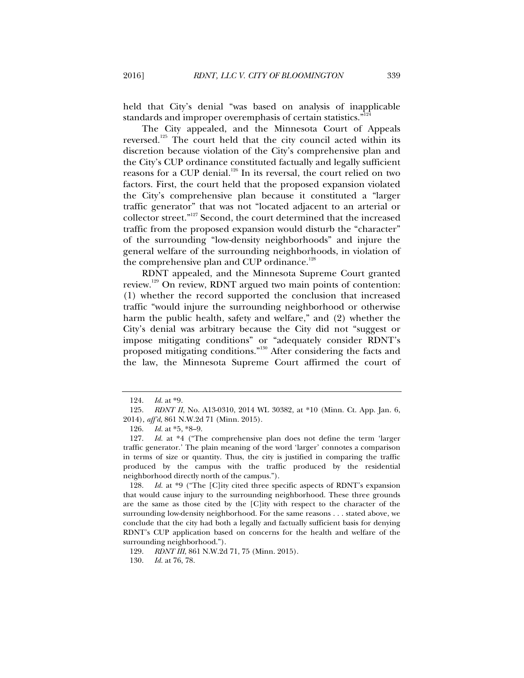held that City's denial "was based on analysis of inapplicable standards and improper overemphasis of certain statistics."<sup>1</sup>

The City appealed, and the Minnesota Court of Appeals reversed.<sup>125</sup> The court held that the city council acted within its discretion because violation of the City's comprehensive plan and the City's CUP ordinance constituted factually and legally sufficient reasons for a CUP denial.<sup>126</sup> In its reversal, the court relied on two factors. First, the court held that the proposed expansion violated the City's comprehensive plan because it constituted a "larger traffic generator" that was not "located adjacent to an arterial or collector street."127 Second, the court determined that the increased traffic from the proposed expansion would disturb the "character" of the surrounding "low-density neighborhoods" and injure the general welfare of the surrounding neighborhoods, in violation of the comprehensive plan and CUP ordinance.<sup>128</sup>

RDNT appealed, and the Minnesota Supreme Court granted review.<sup>129</sup> On review, RDNT argued two main points of contention: (1) whether the record supported the conclusion that increased traffic "would injure the surrounding neighborhood or otherwise harm the public health, safety and welfare," and (2) whether the City's denial was arbitrary because the City did not "suggest or impose mitigating conditions" or "adequately consider RDNT's proposed mitigating conditions."130 After considering the facts and the law, the Minnesota Supreme Court affirmed the court of

 128. *Id.* at \*9 ("The [C]ity cited three specific aspects of RDNT's expansion that would cause injury to the surrounding neighborhood. These three grounds are the same as those cited by the [C]ity with respect to the character of the surrounding low-density neighborhood. For the same reasons . . . stated above, we conclude that the city had both a legally and factually sufficient basis for denying RDNT's CUP application based on concerns for the health and welfare of the surrounding neighborhood.").

129. *RDNT III*, 861 N.W.2d 71, 75 (Minn. 2015).

130. *Id.* at 76, 78.

 <sup>124.</sup> *Id.* at \*9.

 <sup>125.</sup> *RDNT II*, No. A13-0310, 2014 WL 30382, at \*10 (Minn. Ct. App. Jan. 6, 2014), *aff'd*, 861 N.W.2d 71 (Minn. 2015).

 <sup>126.</sup> *Id.* at \*5, \*8–9.

 <sup>127.</sup> *Id.* at \*4 ("The comprehensive plan does not define the term 'larger traffic generator.' The plain meaning of the word 'larger' connotes a comparison in terms of size or quantity. Thus, the city is justified in comparing the traffic produced by the campus with the traffic produced by the residential neighborhood directly north of the campus.").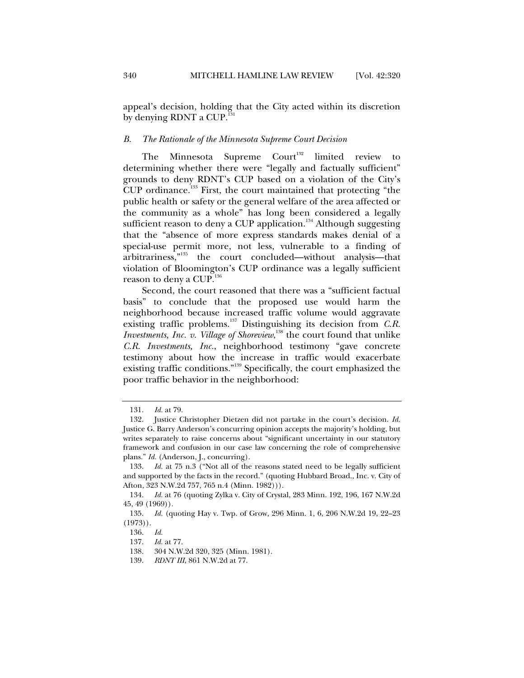appeal's decision, holding that the City acted within its discretion by denying RDNT a CUP. $^{131}$ 

#### *B. The Rationale of the Minnesota Supreme Court Decision*

The Minnesota Supreme  $Count^{132}$  limited review to determining whether there were "legally and factually sufficient" grounds to deny RDNT's CUP based on a violation of the City's CUP ordinance.<sup>133</sup> First, the court maintained that protecting "the public health or safety or the general welfare of the area affected or the community as a whole" has long been considered a legally sufficient reason to deny a CUP application.<sup>134</sup> Although suggesting that the "absence of more express standards makes denial of a special-use permit more, not less, vulnerable to a finding of arbitrariness,"135 the court concluded—without analysis—that violation of Bloomington's CUP ordinance was a legally sufficient reason to deny a CUP.<sup>136</sup>

Second, the court reasoned that there was a "sufficient factual basis" to conclude that the proposed use would harm the neighborhood because increased traffic volume would aggravate existing traffic problems.<sup>137</sup> Distinguishing its decision from *C.R. Investments, Inc. v. Village of Shoreview*,<sup>138</sup> the court found that unlike *C.R. Investments, Inc.*, neighborhood testimony "gave concrete testimony about how the increase in traffic would exacerbate existing traffic conditions."139 Specifically, the court emphasized the poor traffic behavior in the neighborhood:

 <sup>131.</sup> *Id.* at 79.

 <sup>132.</sup> Justice Christopher Dietzen did not partake in the court's decision. *Id.*  Justice G. Barry Anderson's concurring opinion accepts the majority's holding, but writes separately to raise concerns about "significant uncertainty in our statutory framework and confusion in our case law concerning the role of comprehensive plans." *Id.* (Anderson, J., concurring).

 <sup>133.</sup> *Id.* at 75 n.3 ("Not all of the reasons stated need to be legally sufficient and supported by the facts in the record." (quoting Hubbard Broad., Inc. v. City of Afton, 323 N.W.2d 757, 765 n.4 (Minn. 1982))).

 <sup>134.</sup> *Id.* at 76 (quoting Zylka v. City of Crystal, 283 Minn. 192, 196, 167 N.W.2d 45, 49 (1969)).

 <sup>135.</sup> *Id.* (quoting Hay v. Twp. of Grow*,* 296 Minn. 1, 6, 206 N.W.2d 19, 22–23  $(1973)$ .

 <sup>136.</sup> *Id.*

 <sup>137.</sup> *Id.* at 77.

 <sup>138. 304</sup> N.W.2d 320, 325 (Minn. 1981).

 <sup>139.</sup> *RDNT III*, 861 N.W.2d at 77.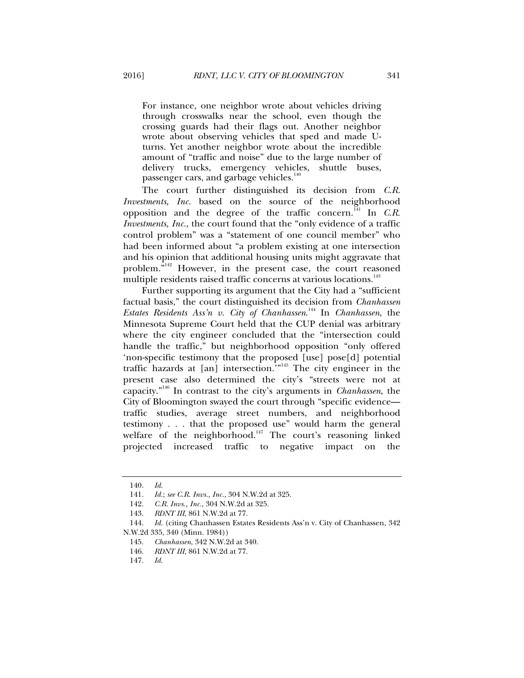For instance, one neighbor wrote about vehicles driving through crosswalks near the school, even though the crossing guards had their flags out. Another neighbor wrote about observing vehicles that sped and made Uturns. Yet another neighbor wrote about the incredible amount of "traffic and noise" due to the large number of delivery trucks, emergency vehicles, shuttle buses, passenger cars, and garbage vehicles.<sup>14</sup>

The court further distinguished its decision from *C.R. Investments, Inc.* based on the source of the neighborhood opposition and the degree of the traffic concern.<sup>141</sup> In *C.R. Investments, Inc.*, the court found that the "only evidence of a traffic control problem" was a "statement of one council member" who had been informed about "a problem existing at one intersection and his opinion that additional housing units might aggravate that problem.<sup> $\bar{v}^{142}$ </sup> However, in the present case, the court reasoned multiple residents raised traffic concerns at various locations.<sup>143</sup>

Further supporting its argument that the City had a "sufficient factual basis," the court distinguished its decision from *Chanhassen Estates Residents Ass'n v. City of Chanhassen*. 144 In *Chanhassen*, the Minnesota Supreme Court held that the CUP denial was arbitrary where the city engineer concluded that the "intersection could handle the traffic," but neighborhood opposition "only offered 'non-specific testimony that the proposed [use] pose[d] potential traffic hazards at [an] intersection.'"145 The city engineer in the present case also determined the city's "streets were not at capacity."146 In contrast to the city's arguments in *Chanhassen*, the City of Bloomington swayed the court through "specific evidence traffic studies, average street numbers, and neighborhood testimony . . . that the proposed use" would harm the general welfare of the neighborhood.<sup>147</sup> The court's reasoning linked projected increased traffic to negative impact on the

 <sup>140.</sup> *Id.*

 <sup>141.</sup> *Id.*; *see C.R. Invs., Inc.*, 304 N.W.2d at 325.

 <sup>142.</sup> *C.R. Invs., Inc.*, 304 N.W.2d at 325.

 <sup>143.</sup> *RDNT III*, 861 N.W.2d at 77.

 <sup>144.</sup> *Id.* (citing Chanhassen Estates Residents Ass'n v. City of Chanhassen, 342 N.W.2d 335, 340 (Minn. 1984))

 <sup>145.</sup> *Chanhassen*, 342 N.W.2d at 340.

 <sup>146.</sup> *RDNT III*, 861 N.W.2d at 77.

 <sup>147.</sup> *Id.*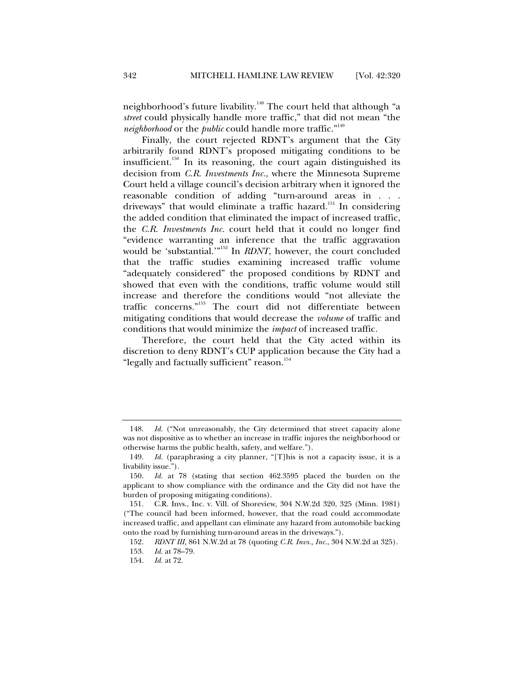neighborhood's future livability.<sup>148</sup> The court held that although "a *street* could physically handle more traffic," that did not mean "the *neighborhood* or the *public* could handle more traffic."149

Finally, the court rejected RDNT's argument that the City arbitrarily found RDNT's proposed mitigating conditions to be insufficient.150 In its reasoning, the court again distinguished its decision from *C.R. Investments Inc.*, where the Minnesota Supreme Court held a village council's decision arbitrary when it ignored the reasonable condition of adding "turn-around areas in . . . driveways" that would eliminate a traffic hazard.<sup>151</sup> In considering the added condition that eliminated the impact of increased traffic, the *C.R. Investments Inc.* court held that it could no longer find "evidence warranting an inference that the traffic aggravation would be 'substantial.'"<sup>152</sup> In *RDNT*, however, the court concluded that the traffic studies examining increased traffic volume "adequately considered" the proposed conditions by RDNT and showed that even with the conditions, traffic volume would still increase and therefore the conditions would "not alleviate the traffic concerns."153 The court did not differentiate between mitigating conditions that would decrease the *volume* of traffic and conditions that would minimize the *impact* of increased traffic.

Therefore, the court held that the City acted within its discretion to deny RDNT's CUP application because the City had a "legally and factually sufficient" reason.<sup>154</sup>

 <sup>148.</sup> *Id.* ("Not unreasonably, the City determined that street capacity alone was not dispositive as to whether an increase in traffic injures the neighborhood or otherwise harms the public health, safety, and welfare.").

 <sup>149.</sup> *Id.* (paraphrasing a city planner, "[T]his is not a capacity issue, it is a livability issue.").

 <sup>150.</sup> *Id.* at 78 (stating that section 462.3595 placed the burden on the applicant to show compliance with the ordinance and the City did not have the burden of proposing mitigating conditions).

 <sup>151.</sup> C.R. Invs., Inc. v. Vill. of Shoreview, 304 N.W.2d 320, 325 (Minn. 1981) ("The council had been informed, however, that the road could accommodate increased traffic, and appellant can eliminate any hazard from automobile backing onto the road by furnishing turn-around areas in the driveways.").

 <sup>152.</sup> *RDNT III,* 861 N.W.2d at 78 (quoting *C.R. Invs., Inc.*, 304 N.W.2d at 325).

 <sup>153.</sup> *Id.* at 78–79.

 <sup>154.</sup> *Id.* at 72.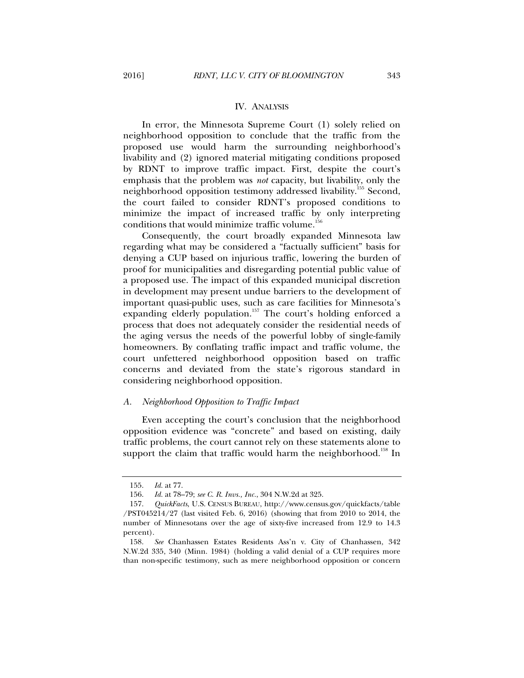#### IV. ANALYSIS

In error, the Minnesota Supreme Court (1) solely relied on neighborhood opposition to conclude that the traffic from the proposed use would harm the surrounding neighborhood's livability and (2) ignored material mitigating conditions proposed by RDNT to improve traffic impact. First, despite the court's emphasis that the problem was *not* capacity, but livability, only the neighborhood opposition testimony addressed livability.<sup>155</sup> Second, the court failed to consider RDNT's proposed conditions to minimize the impact of increased traffic by only interpreting conditions that would minimize traffic volume. $156$ 

Consequently, the court broadly expanded Minnesota law regarding what may be considered a "factually sufficient" basis for denying a CUP based on injurious traffic, lowering the burden of proof for municipalities and disregarding potential public value of a proposed use. The impact of this expanded municipal discretion in development may present undue barriers to the development of important quasi-public uses, such as care facilities for Minnesota's expanding elderly population.<sup>157</sup> The court's holding enforced a process that does not adequately consider the residential needs of the aging versus the needs of the powerful lobby of single-family homeowners. By conflating traffic impact and traffic volume, the court unfettered neighborhood opposition based on traffic concerns and deviated from the state's rigorous standard in considering neighborhood opposition.

#### *A. Neighborhood Opposition to Traffic Impact*

Even accepting the court's conclusion that the neighborhood opposition evidence was "concrete" and based on existing, daily traffic problems, the court cannot rely on these statements alone to support the claim that traffic would harm the neighborhood.<sup>158</sup> In

 <sup>155.</sup> *Id.* at 77.

 <sup>156.</sup> *Id.* at 78–79; *see C. R. Invs., Inc.*, 304 N.W.2d at 325.

 <sup>157.</sup> *QuickFacts*, U.S. CENSUS BUREAU, http://www.census.gov/quickfacts/table /PST045214/27 (last visited Feb. 6, 2016) (showing that from 2010 to 2014, the number of Minnesotans over the age of sixty-five increased from 12.9 to 14.3 percent).

 <sup>158.</sup> *See* Chanhassen Estates Residents Ass'n v. City of Chanhassen, 342 N.W.2d 335, 340 (Minn. 1984) (holding a valid denial of a CUP requires more than non-specific testimony, such as mere neighborhood opposition or concern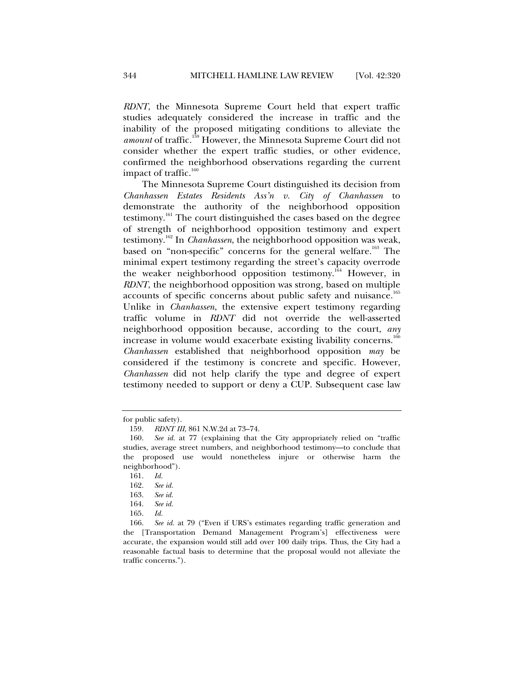*RDNT*, the Minnesota Supreme Court held that expert traffic studies adequately considered the increase in traffic and the inability of the proposed mitigating conditions to alleviate the amount of traffic.<sup>159</sup> However, the Minnesota Supreme Court did not consider whether the expert traffic studies, or other evidence, confirmed the neighborhood observations regarding the current impact of traffic.<sup>160</sup>

The Minnesota Supreme Court distinguished its decision from *Chanhassen Estates Residents Ass'n v. City of Chanhassen* to demonstrate the authority of the neighborhood opposition testimony.161 The court distinguished the cases based on the degree of strength of neighborhood opposition testimony and expert testimony.162 In *Chanhassen*, the neighborhood opposition was weak, based on "non-specific" concerns for the general welfare.<sup>163</sup> The minimal expert testimony regarding the street's capacity overrode the weaker neighborhood opposition testimony.<sup>164</sup> However, in *RDNT*, the neighborhood opposition was strong, based on multiple accounts of specific concerns about public safety and nuisance.<sup>165</sup> Unlike in *Chanhassen*, the extensive expert testimony regarding traffic volume in *RDNT* did not override the well-asserted neighborhood opposition because, according to the court, *any*  increase in volume would exacerbate existing livability concerns.<sup>166</sup> *Chanhassen* established that neighborhood opposition *may* be considered if the testimony is concrete and specific. However, *Chanhassen* did not help clarify the type and degree of expert testimony needed to support or deny a CUP. Subsequent case law

165. *Id.* 

for public safety).

<sup>159</sup>*. RDNT III*, 861 N.W.2d at 73–74.

 <sup>160.</sup> *See id.* at 77 (explaining that the City appropriately relied on "traffic studies, average street numbers, and neighborhood testimony—to conclude that the proposed use would nonetheless injure or otherwise harm the neighborhood").

 <sup>161.</sup> *Id.* 

 <sup>162.</sup> *See id.*

 <sup>163.</sup> *See id.*

 <sup>164.</sup> *See id.*

 <sup>166.</sup> *See id.* at 79 ("Even if URS's estimates regarding traffic generation and the [Transportation Demand Management Program's] effectiveness were accurate, the expansion would still add over 100 daily trips. Thus, the City had a reasonable factual basis to determine that the proposal would not alleviate the traffic concerns.").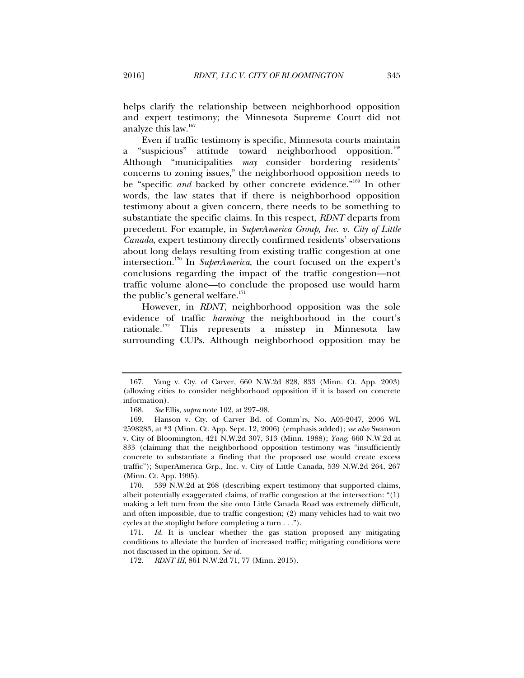helps clarify the relationship between neighborhood opposition and expert testimony; the Minnesota Supreme Court did not analyze this law.<sup>167</sup>

Even if traffic testimony is specific, Minnesota courts maintain a "suspicious" attitude toward neighborhood opposition.<sup>168</sup> Although "municipalities *may* consider bordering residents' concerns to zoning issues," the neighborhood opposition needs to be "specific *and* backed by other concrete evidence."<sup>169</sup> In other words, the law states that if there is neighborhood opposition testimony about a given concern, there needs to be something to substantiate the specific claims. In this respect, *RDNT* departs from precedent. For example, in *SuperAmerica Group, Inc. v. City of Little Canada*, expert testimony directly confirmed residents' observations about long delays resulting from existing traffic congestion at one intersection.170 In *SuperAmerica*, the court focused on the expert's conclusions regarding the impact of the traffic congestion—not traffic volume alone—to conclude the proposed use would harm the public's general welfare. $171$ 

However, in *RDNT*, neighborhood opposition was the sole evidence of traffic *harming* the neighborhood in the court's rationale.172 This represents a misstep in Minnesota law surrounding CUPs. Although neighborhood opposition may be

 <sup>167.</sup> Yang v. Cty. of Carver, 660 N.W.2d 828, 833 (Minn. Ct. App. 2003) (allowing cities to consider neighborhood opposition if it is based on concrete information).

 <sup>168.</sup> *See* Ellis, *supra* note 102, at 297–98.

 <sup>169.</sup> Hanson v. Cty. of Carver Bd. of Comm'rs, No. A05-2047, 2006 WL 2598283, at \*3 (Minn. Ct. App. Sept. 12, 2006) (emphasis added); *see also* Swanson v. City of Bloomington, 421 N.W.2d 307, 313 (Minn. 1988); *Yang*, 660 N.W.2d at 833 (claiming that the neighborhood opposition testimony was "insufficiently concrete to substantiate a finding that the proposed use would create excess traffic"); SuperAmerica Grp., Inc. v. City of Little Canada, 539 N.W.2d 264, 267 (Minn. Ct. App. 1995).

 <sup>170. 539</sup> N.W.2d at 268 (describing expert testimony that supported claims, albeit potentially exaggerated claims, of traffic congestion at the intersection: "(1) making a left turn from the site onto Little Canada Road was extremely difficult, and often impossible, due to traffic congestion; (2) many vehicles had to wait two cycles at the stoplight before completing a turn . . .").

 <sup>171.</sup> *Id.* It is unclear whether the gas station proposed any mitigating conditions to alleviate the burden of increased traffic; mitigating conditions were not discussed in the opinion. *See id.*

 <sup>172.</sup> *RDNT III*, 861 N.W.2d 71, 77 (Minn. 2015).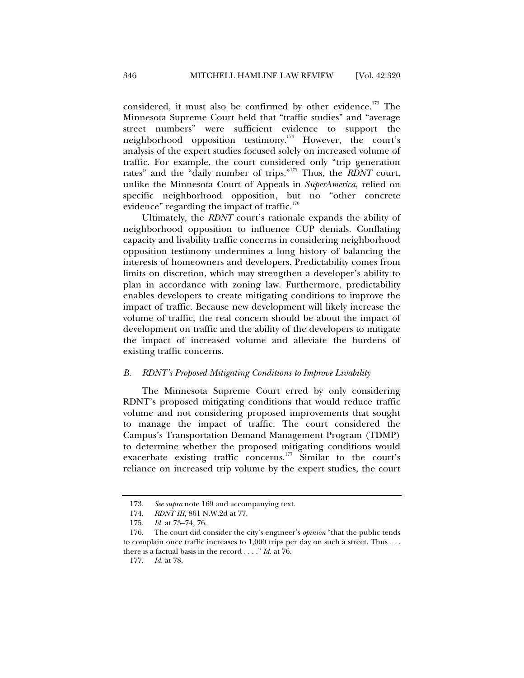considered, it must also be confirmed by other evidence.<sup>173</sup> The Minnesota Supreme Court held that "traffic studies" and "average street numbers" were sufficient evidence to support the neighborhood opposition testimony.174 However, the court's analysis of the expert studies focused solely on increased volume of traffic. For example, the court considered only "trip generation rates" and the "daily number of trips."175 Thus, the *RDNT* court, unlike the Minnesota Court of Appeals in *SuperAmerica,* relied on specific neighborhood opposition, but no "other concrete evidence" regarding the impact of traffic. $176$ 

Ultimately, the *RDNT* court's rationale expands the ability of neighborhood opposition to influence CUP denials. Conflating capacity and livability traffic concerns in considering neighborhood opposition testimony undermines a long history of balancing the interests of homeowners and developers. Predictability comes from limits on discretion, which may strengthen a developer's ability to plan in accordance with zoning law. Furthermore, predictability enables developers to create mitigating conditions to improve the impact of traffic. Because new development will likely increase the volume of traffic, the real concern should be about the impact of development on traffic and the ability of the developers to mitigate the impact of increased volume and alleviate the burdens of existing traffic concerns.

#### *B. RDNT's Proposed Mitigating Conditions to Improve Livability*

The Minnesota Supreme Court erred by only considering RDNT's proposed mitigating conditions that would reduce traffic volume and not considering proposed improvements that sought to manage the impact of traffic. The court considered the Campus's Transportation Demand Management Program (TDMP) to determine whether the proposed mitigating conditions would exacerbate existing traffic concerns.177 Similar to the court's reliance on increased trip volume by the expert studies, the court

 <sup>173.</sup> *See supra* note 169 and accompanying text.

 <sup>174.</sup> *RDNT III*, 861 N.W.2d at 77.

 <sup>175.</sup> *Id.* at 73–74, 76.

 <sup>176.</sup> The court did consider the city's engineer's *opinion* "that the public tends to complain once traffic increases to 1,000 trips per day on such a street. Thus . . . there is a factual basis in the record . . . ." *Id.* at 76.

 <sup>177.</sup> *Id.* at 78.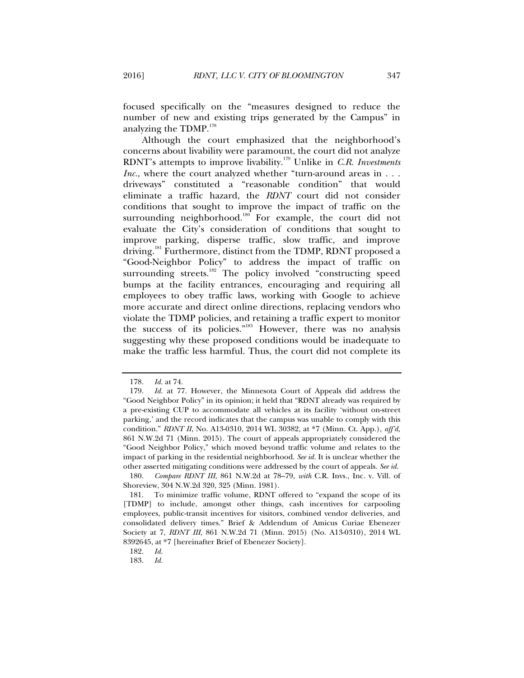focused specifically on the "measures designed to reduce the number of new and existing trips generated by the Campus" in analyzing the TDMP.<sup>178</sup>

Although the court emphasized that the neighborhood's concerns about livability were paramount, the court did not analyze RDNT's attempts to improve livability.179 Unlike in *C.R. Investments Inc.*, where the court analyzed whether "turn-around areas in . . . driveways" constituted a "reasonable condition" that would eliminate a traffic hazard, the *RDNT* court did not consider conditions that sought to improve the impact of traffic on the surrounding neighborhood.<sup>180</sup> For example, the court did not evaluate the City's consideration of conditions that sought to improve parking, disperse traffic, slow traffic, and improve driving.<sup>181</sup> Furthermore, distinct from the TDMP, RDNT proposed a "Good-Neighbor Policy" to address the impact of traffic on surrounding streets.<sup>182</sup> The policy involved "constructing speed bumps at the facility entrances, encouraging and requiring all employees to obey traffic laws, working with Google to achieve more accurate and direct online directions, replacing vendors who violate the TDMP policies, and retaining a traffic expert to monitor the success of its policies."<sup>183</sup> However, there was no analysis suggesting why these proposed conditions would be inadequate to make the traffic less harmful. Thus, the court did not complete its

 <sup>178.</sup> *Id.* at 74.

 <sup>179.</sup> *Id.* at 77. However, the Minnesota Court of Appeals did address the "Good Neighbor Policy" in its opinion; it held that "RDNT already was required by a pre-existing CUP to accommodate all vehicles at its facility 'without on-street parking,' and the record indicates that the campus was unable to comply with this condition." *RDNT II*, No. A13-0310, 2014 WL 30382, at \*7 (Minn. Ct. App.), *aff'd,* 861 N.W.2d 71 (Minn. 2015). The court of appeals appropriately considered the "Good Neighbor Policy," which moved beyond traffic volume and relates to the impact of parking in the residential neighborhood. *See id.* It is unclear whether the other asserted mitigating conditions were addressed by the court of appeals. *See id.* 

 <sup>180.</sup> *Compare RDNT III*, 861 N.W.2d at 78–79, *with* C.R. Invs., Inc. v. Vill. of Shoreview, 304 N.W.2d 320, 325 (Minn. 1981).

 <sup>181.</sup> To minimize traffic volume, RDNT offered to "expand the scope of its [TDMP] to include, amongst other things, cash incentives for carpooling employees, public-transit incentives for visitors, combined vendor deliveries, and consolidated delivery times." Brief & Addendum of Amicus Curiae Ebenezer Society at 7, *RDNT III*, 861 N.W.2d 71 (Minn. 2015) (No. A13-0310), 2014 WL 8392645, at \*7 [hereinafter Brief of Ebenezer Society].

 <sup>182.</sup> *Id.*

 <sup>183.</sup> *Id.*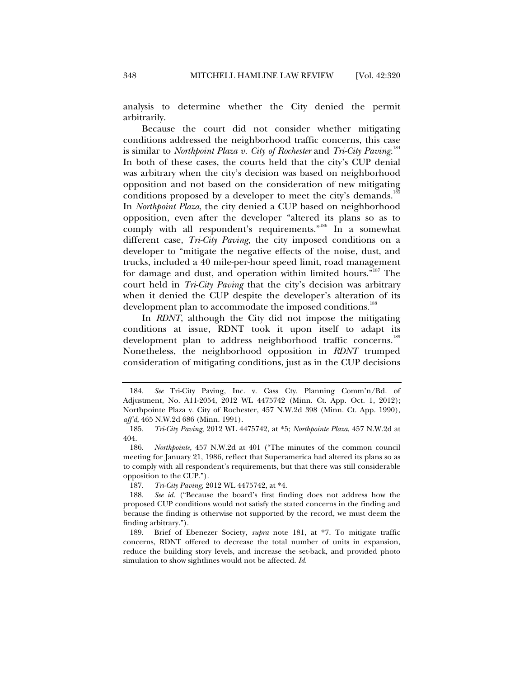analysis to determine whether the City denied the permit arbitrarily.

Because the court did not consider whether mitigating conditions addressed the neighborhood traffic concerns, this case is similar to *Northpoint Plaza v. City of Rochester* and *Tri-City Paving*. 184 In both of these cases, the courts held that the city's CUP denial was arbitrary when the city's decision was based on neighborhood opposition and not based on the consideration of new mitigating conditions proposed by a developer to meet the city's demands.<sup>185</sup> In *Northpoint Plaza*, the city denied a CUP based on neighborhood opposition, even after the developer "altered its plans so as to comply with all respondent's requirements."186 In a somewhat different case, *Tri-City Paving*, the city imposed conditions on a developer to "mitigate the negative effects of the noise, dust, and trucks, included a 40 mile-per-hour speed limit, road management for damage and dust, and operation within limited hours."187 The court held in *Tri-City Paving* that the city's decision was arbitrary when it denied the CUP despite the developer's alteration of its development plan to accommodate the imposed conditions.<sup>188</sup>

In *RDNT*, although the City did not impose the mitigating conditions at issue, RDNT took it upon itself to adapt its development plan to address neighborhood traffic concerns.<sup>189</sup> Nonetheless, the neighborhood opposition in *RDNT* trumped consideration of mitigating conditions, just as in the CUP decisions

187. *Tri-City Paving*, 2012 WL 4475742, at \*4.

 <sup>184.</sup> *See* Tri-City Paving, Inc. v. Cass Cty. Planning Comm'n/Bd. of Adjustment, No. A11-2054, 2012 WL 4475742 (Minn. Ct. App. Oct. 1, 2012); Northpointe Plaza v. City of Rochester, 457 N.W.2d 398 (Minn. Ct. App. 1990), *aff'd*, 465 N.W.2d 686 (Minn. 1991).

 <sup>185.</sup> *Tri-City Paving*, 2012 WL 4475742, at \*5; *Northpointe Plaza*, 457 N.W.2d at 404.

 <sup>186.</sup> *Northpointe*, 457 N.W.2d at 401 ("The minutes of the common council meeting for January 21, 1986, reflect that Superamerica had altered its plans so as to comply with all respondent's requirements, but that there was still considerable opposition to the CUP.").

 <sup>188.</sup> *See id.* ("Because the board's first finding does not address how the proposed CUP conditions would not satisfy the stated concerns in the finding and because the finding is otherwise not supported by the record, we must deem the finding arbitrary.").

 <sup>189.</sup> Brief of Ebenezer Society, *supra* note 181, at \*7. To mitigate traffic concerns, RDNT offered to decrease the total number of units in expansion, reduce the building story levels, and increase the set-back, and provided photo simulation to show sightlines would not be affected. *Id.*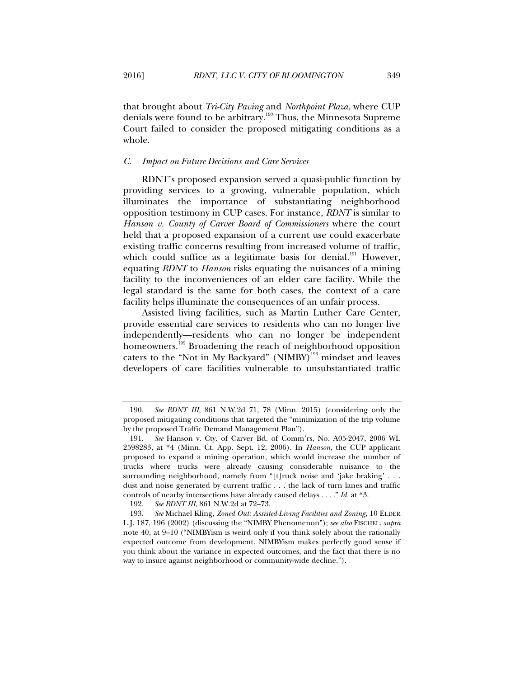that brought about *Tri-City Paving* and *Northpoint Plaza*, where CUP denials were found to be arbitrary.<sup>190</sup> Thus, the Minnesota Supreme Court failed to consider the proposed mitigating conditions as a whole.

#### *C. Impact on Future Decisions and Care Services*

RDNT's proposed expansion served a quasi-public function by providing services to a growing, vulnerable population, which illuminates the importance of substantiating neighborhood opposition testimony in CUP cases. For instance, *RDNT* is similar to *Hanson v. County of Carver Board of Commissioners* where the court held that a proposed expansion of a current use could exacerbate existing traffic concerns resulting from increased volume of traffic, which could suffice as a legitimate basis for denial.<sup>191</sup> However, equating *RDNT* to *Hanson* risks equating the nuisances of a mining facility to the inconveniences of an elder care facility. While the legal standard is the same for both cases, the context of a care facility helps illuminate the consequences of an unfair process.

Assisted living facilities, such as Martin Luther Care Center, provide essential care services to residents who can no longer live independently—residents who can no longer be independent homeowners.<sup>192</sup> Broadening the reach of neighborhood opposition caters to the "Not in My Backyard" (NIMBY)<sup>193</sup> mindset and leaves developers of care facilities vulnerable to unsubstantiated traffic

 <sup>190.</sup> *See RDNT III*, 861 N.W.2d 71, 78 (Minn. 2015) (considering only the proposed mitigating conditions that targeted the "minimization of the trip volume by the proposed Traffic Demand Management Plan").

 <sup>191.</sup> *See* Hanson v. Cty. of Carver Bd. of Comm'rs, No. A05-2047, 2006 WL 2598283, at \*4 (Minn. Ct. App. Sept. 12, 2006). In *Hanson*, the CUP applicant proposed to expand a mining operation, which would increase the number of trucks where trucks were already causing considerable nuisance to the surrounding neighborhood, namely from "[t]ruck noise and 'jake braking' . . . dust and noise generated by current traffic . . . the lack of turn lanes and traffic controls of nearby intersections have already caused delays . . . ." *Id.* at \*3.

 <sup>192.</sup> *See RDNT III*, 861 N.W.2d at 72–73.

 <sup>193.</sup> *See* Michael Kling, *Zoned Out: Assisted-Living Facilities and Zoning*, 10 ELDER L.J. 187, 196 (2002) (discussing the "NIMBY Phenomenon"); *see also* FISCHEL, *supra* note 40, at 9–10 ("NIMBYism is weird only if you think solely about the rationally expected outcome from development. NIMBYism makes perfectly good sense if you think about the variance in expected outcomes, and the fact that there is no way to insure against neighborhood or community-wide decline.").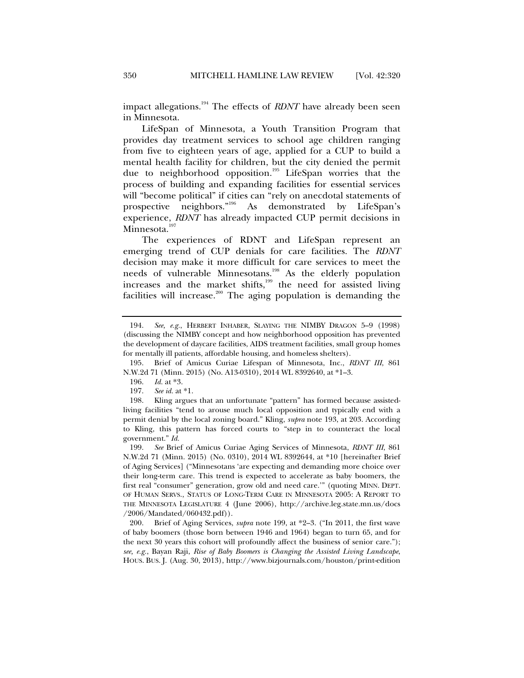impact allegations.194 The effects of *RDNT* have already been seen in Minnesota.

LifeSpan of Minnesota, a Youth Transition Program that provides day treatment services to school age children ranging from five to eighteen years of age, applied for a CUP to build a mental health facility for children, but the city denied the permit due to neighborhood opposition.<sup>195</sup> LifeSpan worries that the process of building and expanding facilities for essential services will "become political" if cities can "rely on anecdotal statements of prospective neighbors."196 As demonstrated by LifeSpan's experience, *RDNT* has already impacted CUP permit decisions in Minnesota.<sup>197</sup>

The experiences of RDNT and LifeSpan represent an emerging trend of CUP denials for care facilities. The *RDNT*  decision may make it more difficult for care services to meet the needs of vulnerable Minnesotans.<sup>198</sup> As the elderly population increases and the market shifts, $199$  the need for assisted living facilities will increase.<sup>200</sup> The aging population is demanding the

 <sup>194.</sup> *See, e.g.*, HERBERT INHABER, SLAYING THE NIMBY DRAGON 5–9 (1998) (discussing the NIMBY concept and how neighborhood opposition has prevented the development of daycare facilities, AIDS treatment facilities, small group homes for mentally ill patients, affordable housing, and homeless shelters).

 <sup>195.</sup> Brief of Amicus Curiae Lifespan of Minnesota, Inc., *RDNT III*, 861 N.W.2d 71 (Minn. 2015) (No. A13-0310), 2014 WL 8392640, at \*1–3.

 <sup>196.</sup> *Id.* at \*3.

 <sup>197.</sup> *See id.* at \*1.

 <sup>198.</sup> Kling argues that an unfortunate "pattern" has formed because assistedliving facilities "tend to arouse much local opposition and typically end with a permit denial by the local zoning board." Kling, *supra* note 193, at 203. According to Kling, this pattern has forced courts to "step in to counteract the local government." *Id.*

 <sup>199.</sup> *See* Brief of Amicus Curiae Aging Services of Minnesota, *RDNT III*, 861 N.W.2d 71 (Minn. 2015) (No. 0310), 2014 WL 8392644, at \*10 [hereinafter Brief of Aging Services] ("Minnesotans 'are expecting and demanding more choice over their long-term care. This trend is expected to accelerate as baby boomers, the first real "consumer" generation, grow old and need care.'" (quoting MINN. DEPT. OF HUMAN SERVS., STATUS OF LONG-TERM CARE IN MINNESOTA 2005: A REPORT TO THE MINNESOTA LEGISLATURE 4 (June 2006), http://archive.leg.state.mn.us/docs /2006/Mandated/060432.pdf)).

 <sup>200.</sup> Brief of Aging Services, *supra* note 199, at \*2–3. ("In 2011, the first wave of baby boomers (those born between 1946 and 1964) began to turn 65, and for the next 30 years this cohort will profoundly affect the business of senior care."); *see, e.g.*, Bayan Raji, *Rise of Baby Boomers is Changing the Assisted Living Landscape*, HOUS. BUS. J. (Aug. 30, 2013), http://www.bizjournals.com/houston/print-edition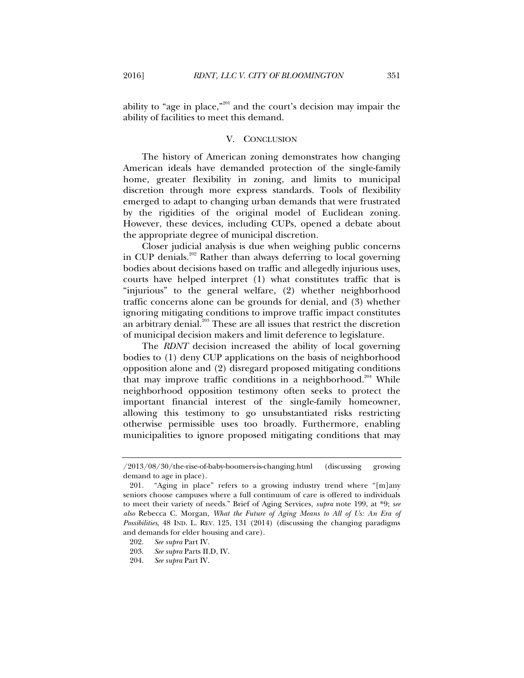ability to "age in place,"<sup>201</sup> and the court's decision may impair the ability of facilities to meet this demand.

#### V. CONCLUSION

The history of American zoning demonstrates how changing American ideals have demanded protection of the single-family home, greater flexibility in zoning, and limits to municipal discretion through more express standards. Tools of flexibility emerged to adapt to changing urban demands that were frustrated by the rigidities of the original model of Euclidean zoning. However, these devices, including CUPs, opened a debate about the appropriate degree of municipal discretion.

Closer judicial analysis is due when weighing public concerns in CUP denials.<sup>202</sup> Rather than always deferring to local governing bodies about decisions based on traffic and allegedly injurious uses, courts have helped interpret (1) what constitutes traffic that is "injurious" to the general welfare, (2) whether neighborhood traffic concerns alone can be grounds for denial, and (3) whether ignoring mitigating conditions to improve traffic impact constitutes an arbitrary denial.<sup>203</sup> These are all issues that restrict the discretion of municipal decision makers and limit deference to legislature.

The *RDNT* decision increased the ability of local governing bodies to (1) deny CUP applications on the basis of neighborhood opposition alone and (2) disregard proposed mitigating conditions that may improve traffic conditions in a neighborhood.<sup>204</sup> While neighborhood opposition testimony often seeks to protect the important financial interest of the single-family homeowner, allowing this testimony to go unsubstantiated risks restricting otherwise permissible uses too broadly. Furthermore, enabling municipalities to ignore proposed mitigating conditions that may

<sup>/2013/08/30/</sup>the-rise-of-baby-boomers-is-changing.html (discussing growing demand to age in place).

 <sup>201. &</sup>quot;Aging in place" refers to a growing industry trend where "[m]any seniors choose campuses where a full continuum of care is offered to individuals to meet their variety of needs." Brief of Aging Services, *supra* note 199, at \*9; *see also* Rebecca C. Morgan, *What the Future of Aging Means to All of Us: An Era of Possibilities*, 48 IND. L. REV. 125, 131 (2014) (discussing the changing paradigms and demands for elder housing and care).

 <sup>202.</sup> *See supra* Part IV.

 <sup>203.</sup> *See supra* Parts II.D, IV.

 <sup>204.</sup> *See supra* Part IV.